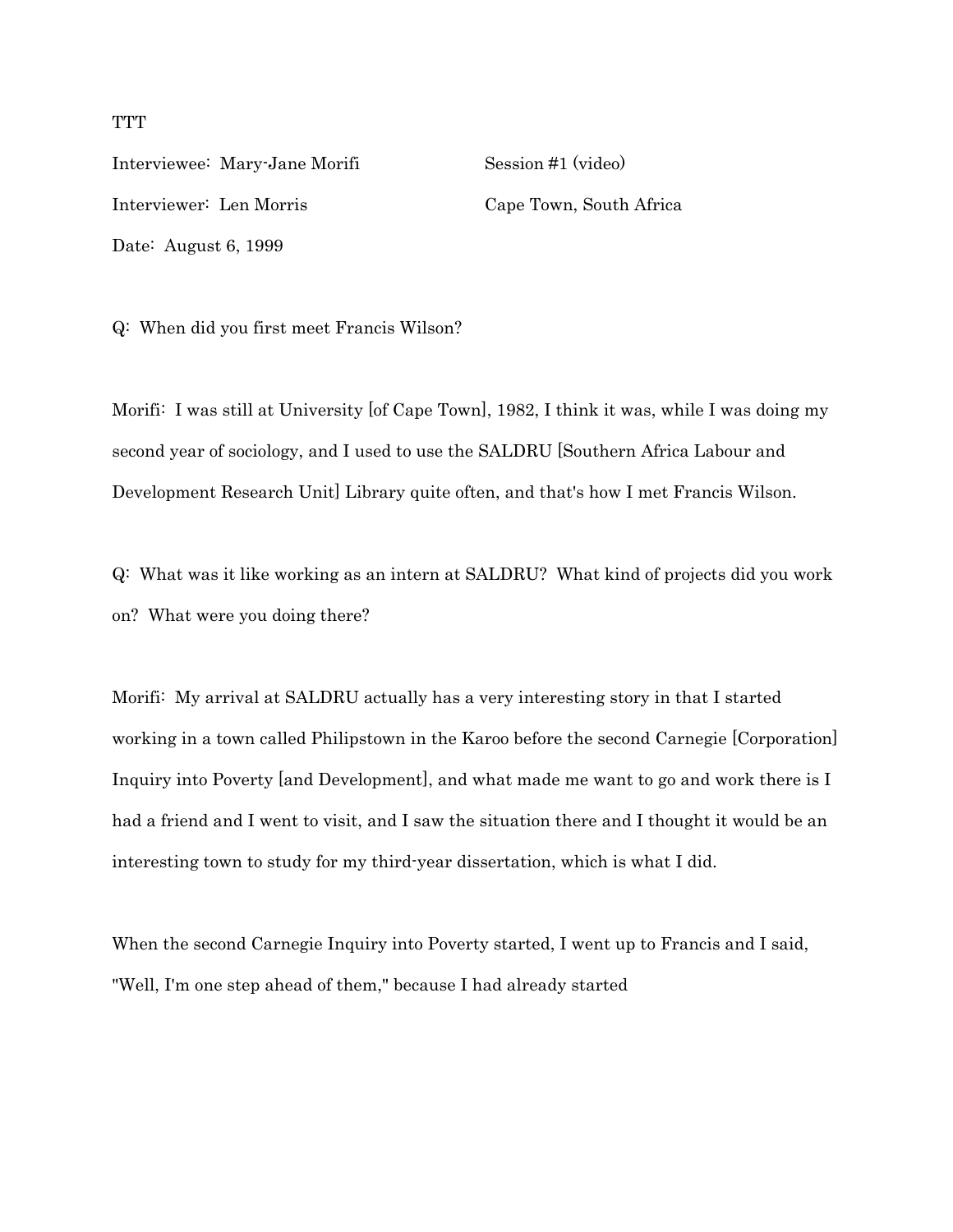Interviewee: Mary-Jane Morifi Session #1 (video) Interviewer: Len Morris Cape Town, South Africa Date: August 6, 1999

Q: When did you first meet Francis Wilson?

Morifi: I was still at University [of Cape Town], 1982, I think it was, while I was doing my second year of sociology, and I used to use the SALDRU [Southern Africa Labour and Development Research Unit] Library quite often, and that's how I met Francis Wilson.

Q: What was it like working as an intern at SALDRU? What kind of projects did you work on? What were you doing there?

Morifi: My arrival at SALDRU actually has a very interesting story in that I started working in a town called Philipstown in the Karoo before the second Carnegie [Corporation] Inquiry into Poverty [and Development], and what made me want to go and work there is I had a friend and I went to visit, and I saw the situation there and I thought it would be an interesting town to study for my third-year dissertation, which is what I did.

When the second Carnegie Inquiry into Poverty started, I went up to Francis and I said, "Well, I'm one step ahead of them," because I had already started

## **TTT**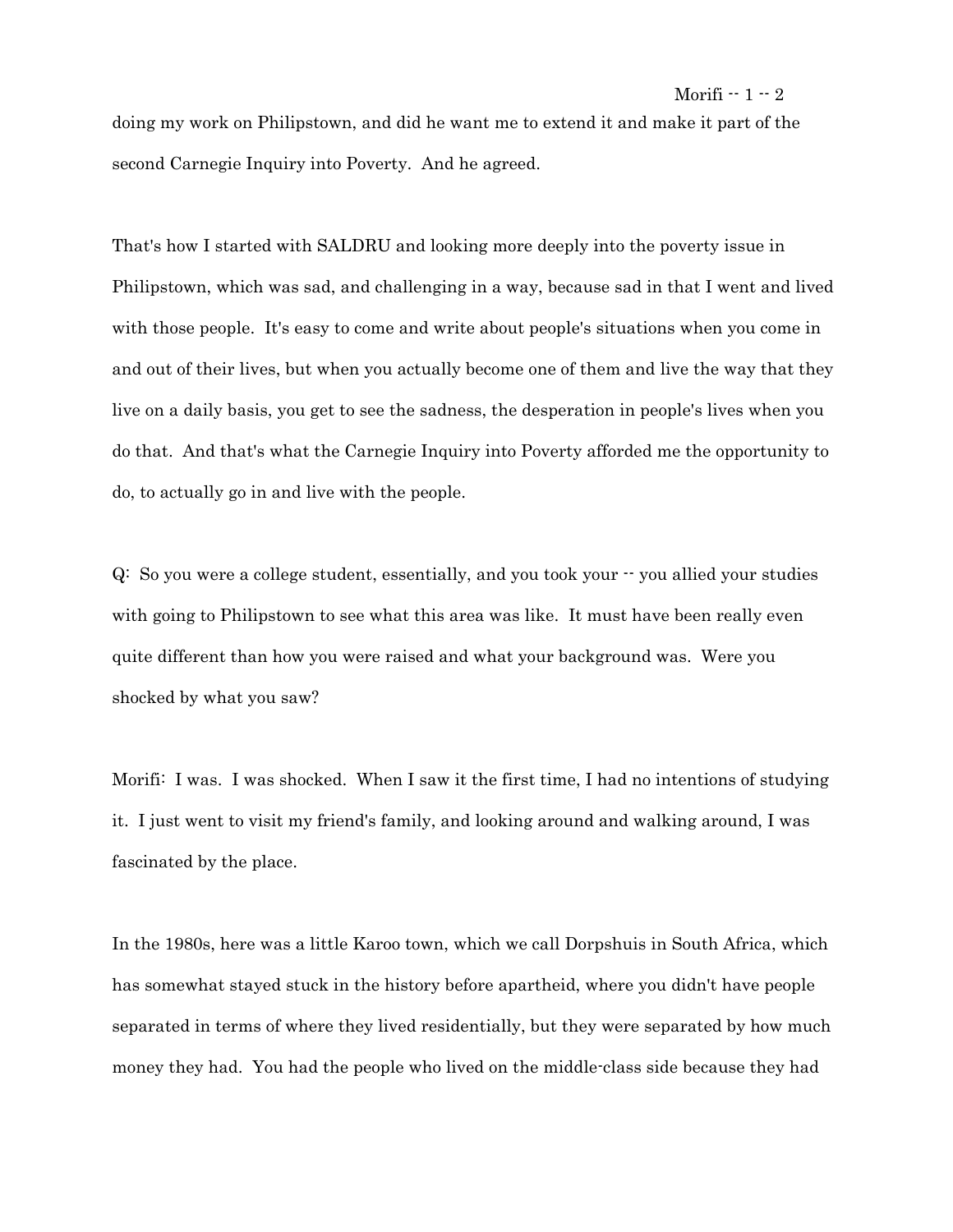# doing my work on Philipstown, and did he want me to extend it and make it part of the second Carnegie Inquiry into Poverty. And he agreed.

That's how I started with SALDRU and looking more deeply into the poverty issue in Philipstown, which was sad, and challenging in a way, because sad in that I went and lived with those people. It's easy to come and write about people's situations when you come in and out of their lives, but when you actually become one of them and live the way that they live on a daily basis, you get to see the sadness, the desperation in people's lives when you do that. And that's what the Carnegie Inquiry into Poverty afforded me the opportunity to do, to actually go in and live with the people.

Q: So you were a college student, essentially, and you took your -- you allied your studies with going to Philipstown to see what this area was like. It must have been really even quite different than how you were raised and what your background was. Were you shocked by what you saw?

Morifi: I was. I was shocked. When I saw it the first time, I had no intentions of studying it. I just went to visit my friend's family, and looking around and walking around, I was fascinated by the place.

In the 1980s, here was a little Karoo town, which we call Dorpshuis in South Africa, which has somewhat stayed stuck in the history before apartheid, where you didn't have people separated in terms of where they lived residentially, but they were separated by how much money they had. You had the people who lived on the middle-class side because they had

# Morifi -- 1 -- 2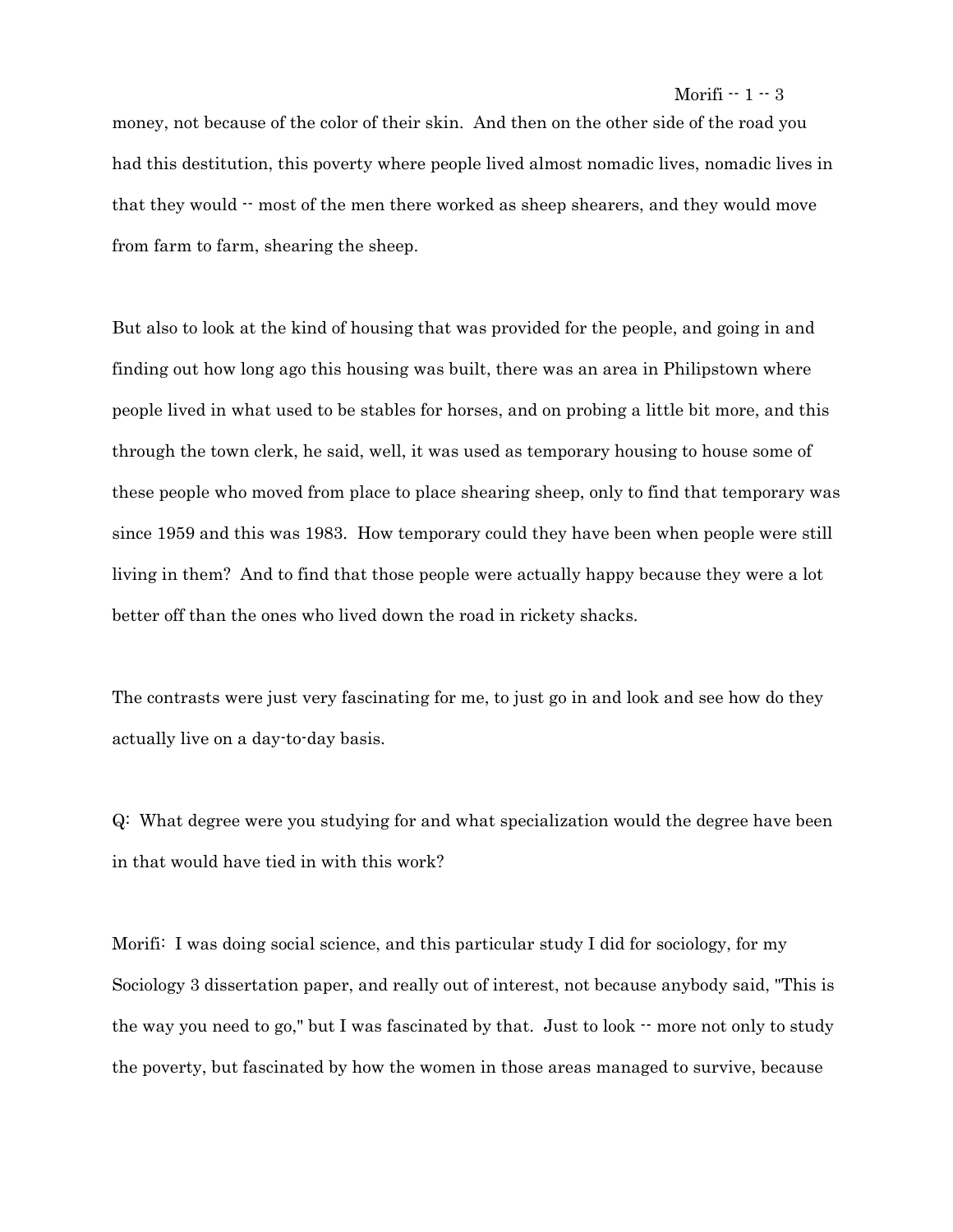#### Morifi  $-1 - 3$

money, not because of the color of their skin. And then on the other side of the road you had this destitution, this poverty where people lived almost nomadic lives, nomadic lives in that they would  $\cdot$  most of the men there worked as sheep shearers, and they would move from farm to farm, shearing the sheep.

But also to look at the kind of housing that was provided for the people, and going in and finding out how long ago this housing was built, there was an area in Philipstown where people lived in what used to be stables for horses, and on probing a little bit more, and this through the town clerk, he said, well, it was used as temporary housing to house some of these people who moved from place to place shearing sheep, only to find that temporary was since 1959 and this was 1983. How temporary could they have been when people were still living in them? And to find that those people were actually happy because they were a lot better off than the ones who lived down the road in rickety shacks.

The contrasts were just very fascinating for me, to just go in and look and see how do they actually live on a day-to-day basis.

Q: What degree were you studying for and what specialization would the degree have been in that would have tied in with this work?

Morifi: I was doing social science, and this particular study I did for sociology, for my Sociology 3 dissertation paper, and really out of interest, not because anybody said, "This is the way you need to go," but I was fascinated by that. Just to look  $\cdot$  more not only to study the poverty, but fascinated by how the women in those areas managed to survive, because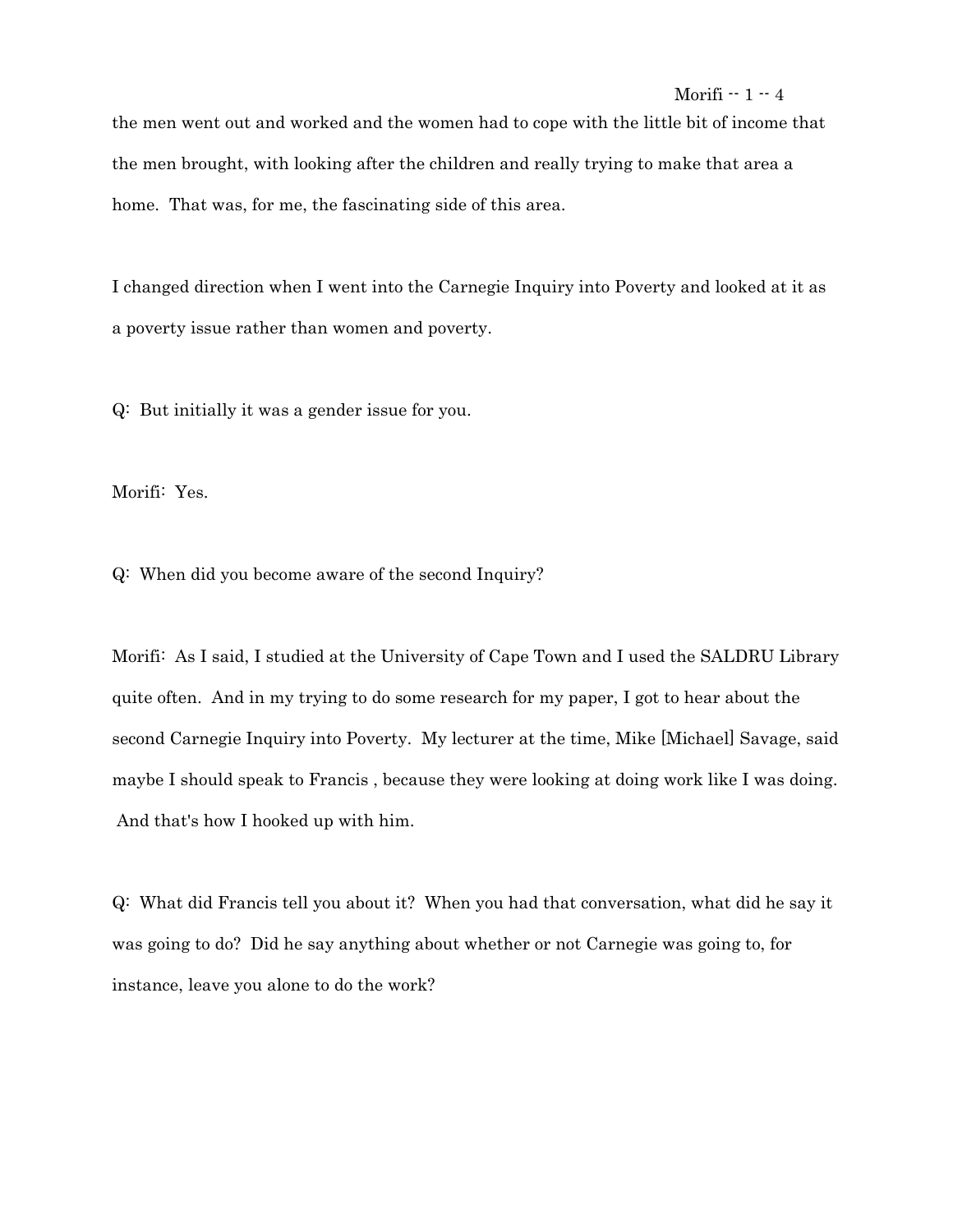the men went out and worked and the women had to cope with the little bit of income that the men brought, with looking after the children and really trying to make that area a home. That was, for me, the fascinating side of this area.

I changed direction when I went into the Carnegie Inquiry into Poverty and looked at it as a poverty issue rather than women and poverty.

Q: But initially it was a gender issue for you.

Morifi: Yes.

Q: When did you become aware of the second Inquiry?

Morifi: As I said, I studied at the University of Cape Town and I used the SALDRU Library quite often. And in my trying to do some research for my paper, I got to hear about the second Carnegie Inquiry into Poverty. My lecturer at the time, Mike [Michael] Savage, said maybe I should speak to Francis , because they were looking at doing work like I was doing. And that's how I hooked up with him.

Q: What did Francis tell you about it? When you had that conversation, what did he say it was going to do? Did he say anything about whether or not Carnegie was going to, for instance, leave you alone to do the work?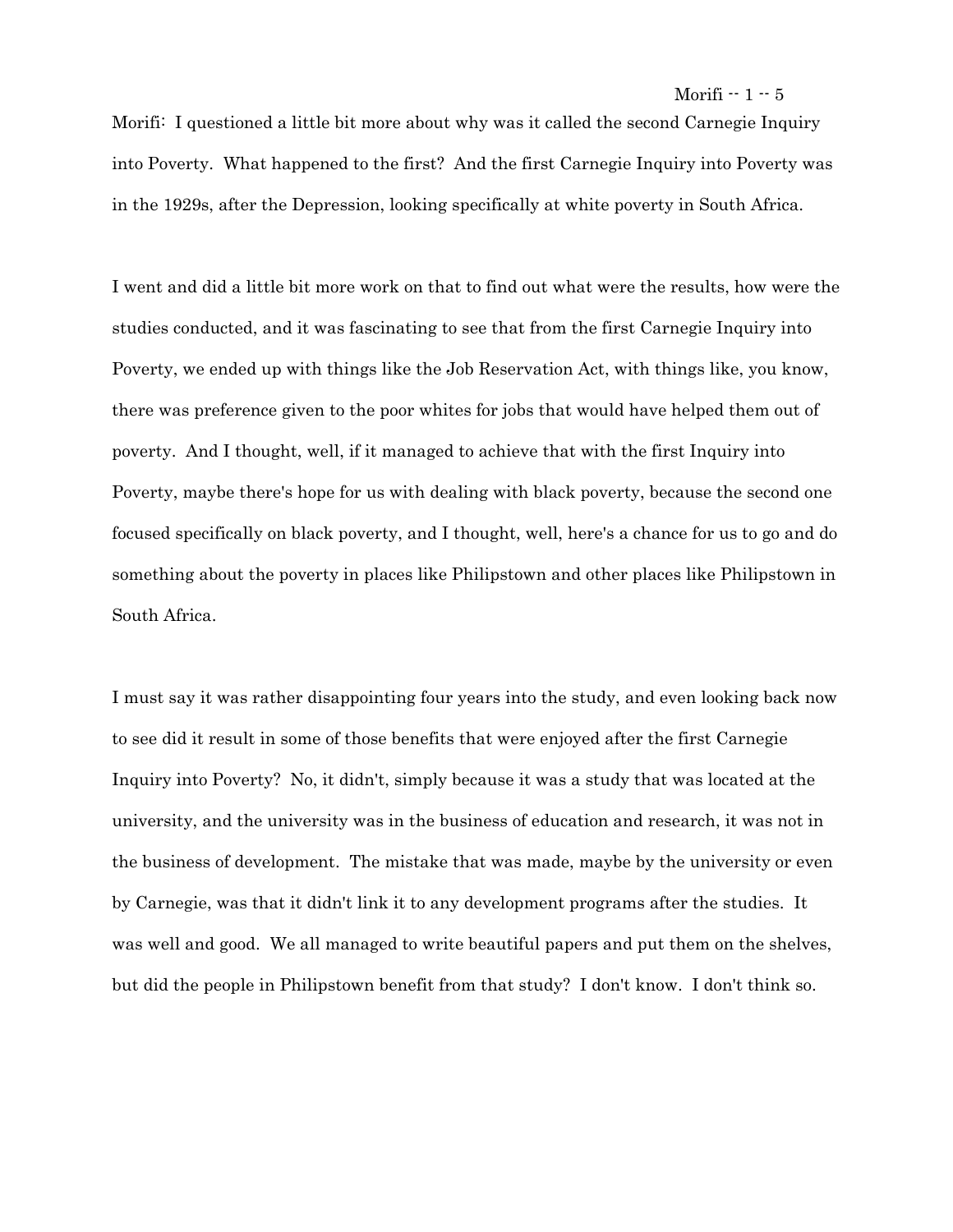## Morifi  $-1-5$

Morifi: I questioned a little bit more about why was it called the second Carnegie Inquiry into Poverty. What happened to the first? And the first Carnegie Inquiry into Poverty was in the 1929s, after the Depression, looking specifically at white poverty in South Africa.

I went and did a little bit more work on that to find out what were the results, how were the studies conducted, and it was fascinating to see that from the first Carnegie Inquiry into Poverty, we ended up with things like the Job Reservation Act, with things like, you know, there was preference given to the poor whites for jobs that would have helped them out of poverty. And I thought, well, if it managed to achieve that with the first Inquiry into Poverty, maybe there's hope for us with dealing with black poverty, because the second one focused specifically on black poverty, and I thought, well, here's a chance for us to go and do something about the poverty in places like Philipstown and other places like Philipstown in South Africa.

I must say it was rather disappointing four years into the study, and even looking back now to see did it result in some of those benefits that were enjoyed after the first Carnegie Inquiry into Poverty? No, it didn't, simply because it was a study that was located at the university, and the university was in the business of education and research, it was not in the business of development. The mistake that was made, maybe by the university or even by Carnegie, was that it didn't link it to any development programs after the studies. It was well and good. We all managed to write beautiful papers and put them on the shelves, but did the people in Philipstown benefit from that study? I don't know. I don't think so.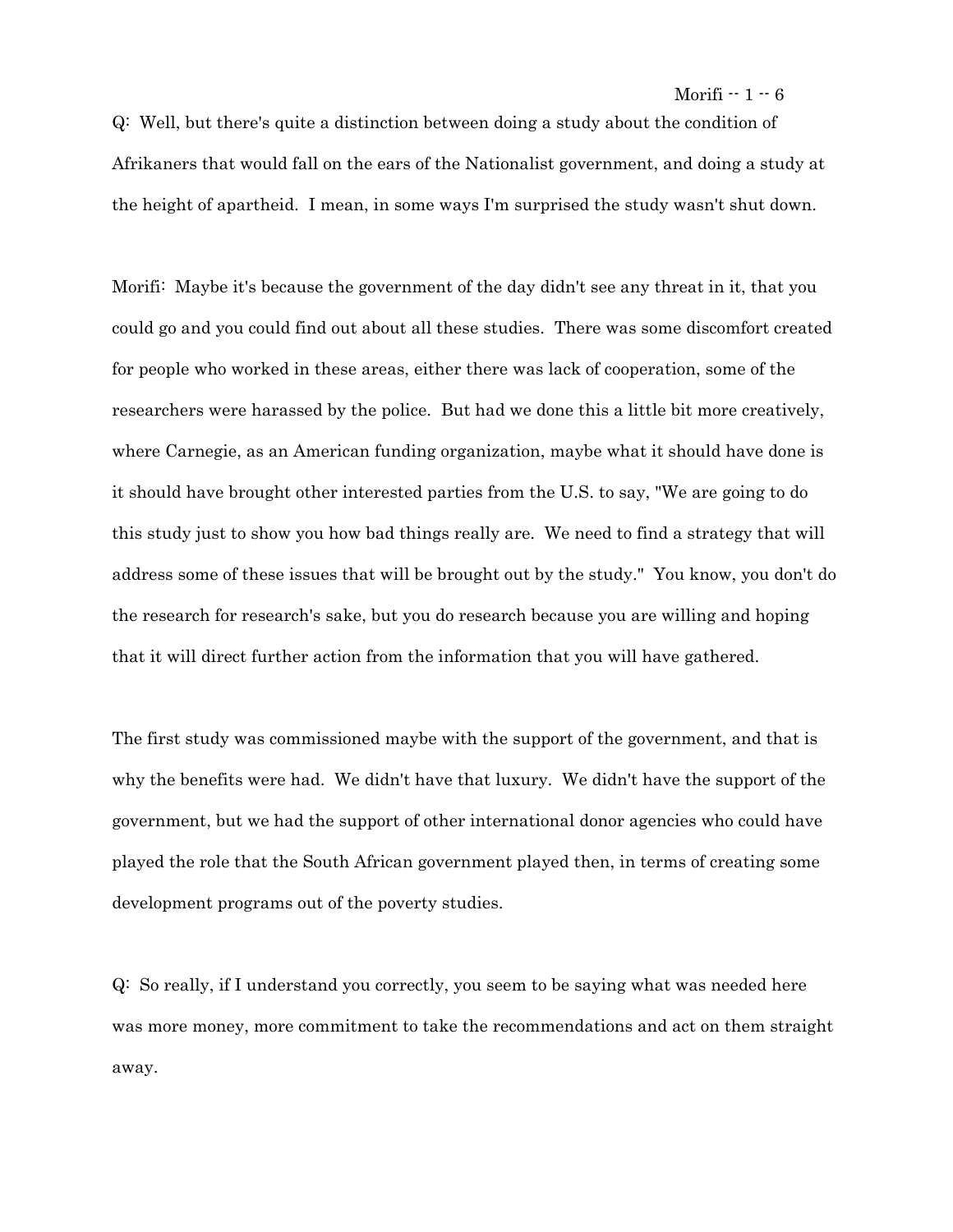Morifi  $-1-6$ 

Q: Well, but there's quite a distinction between doing a study about the condition of Afrikaners that would fall on the ears of the Nationalist government, and doing a study at the height of apartheid. I mean, in some ways I'm surprised the study wasn't shut down.

Morifi: Maybe it's because the government of the day didn't see any threat in it, that you could go and you could find out about all these studies. There was some discomfort created for people who worked in these areas, either there was lack of cooperation, some of the researchers were harassed by the police. But had we done this a little bit more creatively, where Carnegie, as an American funding organization, maybe what it should have done is it should have brought other interested parties from the U.S. to say, "We are going to do this study just to show you how bad things really are. We need to find a strategy that will address some of these issues that will be brought out by the study." You know, you don't do the research for research's sake, but you do research because you are willing and hoping that it will direct further action from the information that you will have gathered.

The first study was commissioned maybe with the support of the government, and that is why the benefits were had. We didn't have that luxury. We didn't have the support of the government, but we had the support of other international donor agencies who could have played the role that the South African government played then, in terms of creating some development programs out of the poverty studies.

Q: So really, if I understand you correctly, you seem to be saying what was needed here was more money, more commitment to take the recommendations and act on them straight away.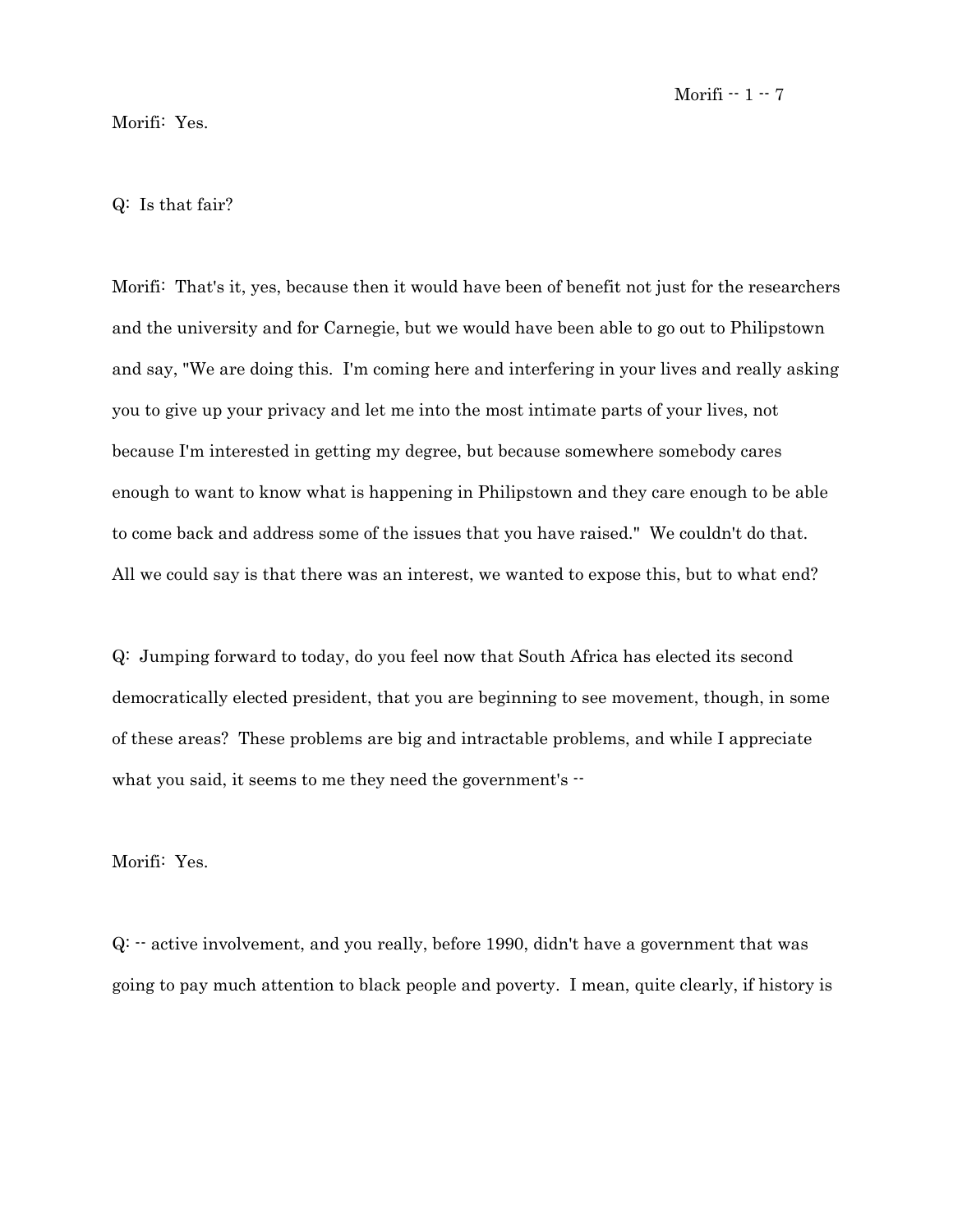## Morifi: Yes.

# Q: Is that fair?

Morifi: That's it, yes, because then it would have been of benefit not just for the researchers and the university and for Carnegie, but we would have been able to go out to Philipstown and say, "We are doing this. I'm coming here and interfering in your lives and really asking you to give up your privacy and let me into the most intimate parts of your lives, not because I'm interested in getting my degree, but because somewhere somebody cares enough to want to know what is happening in Philipstown and they care enough to be able to come back and address some of the issues that you have raised." We couldn't do that. All we could say is that there was an interest, we wanted to expose this, but to what end?

Q: Jumping forward to today, do you feel now that South Africa has elected its second democratically elected president, that you are beginning to see movement, though, in some of these areas? These problems are big and intractable problems, and while I appreciate what you said, it seems to me they need the government's  $-$ 

Morifi: Yes.

Q: -- active involvement, and you really, before 1990, didn't have a government that was going to pay much attention to black people and poverty. I mean, quite clearly, if history is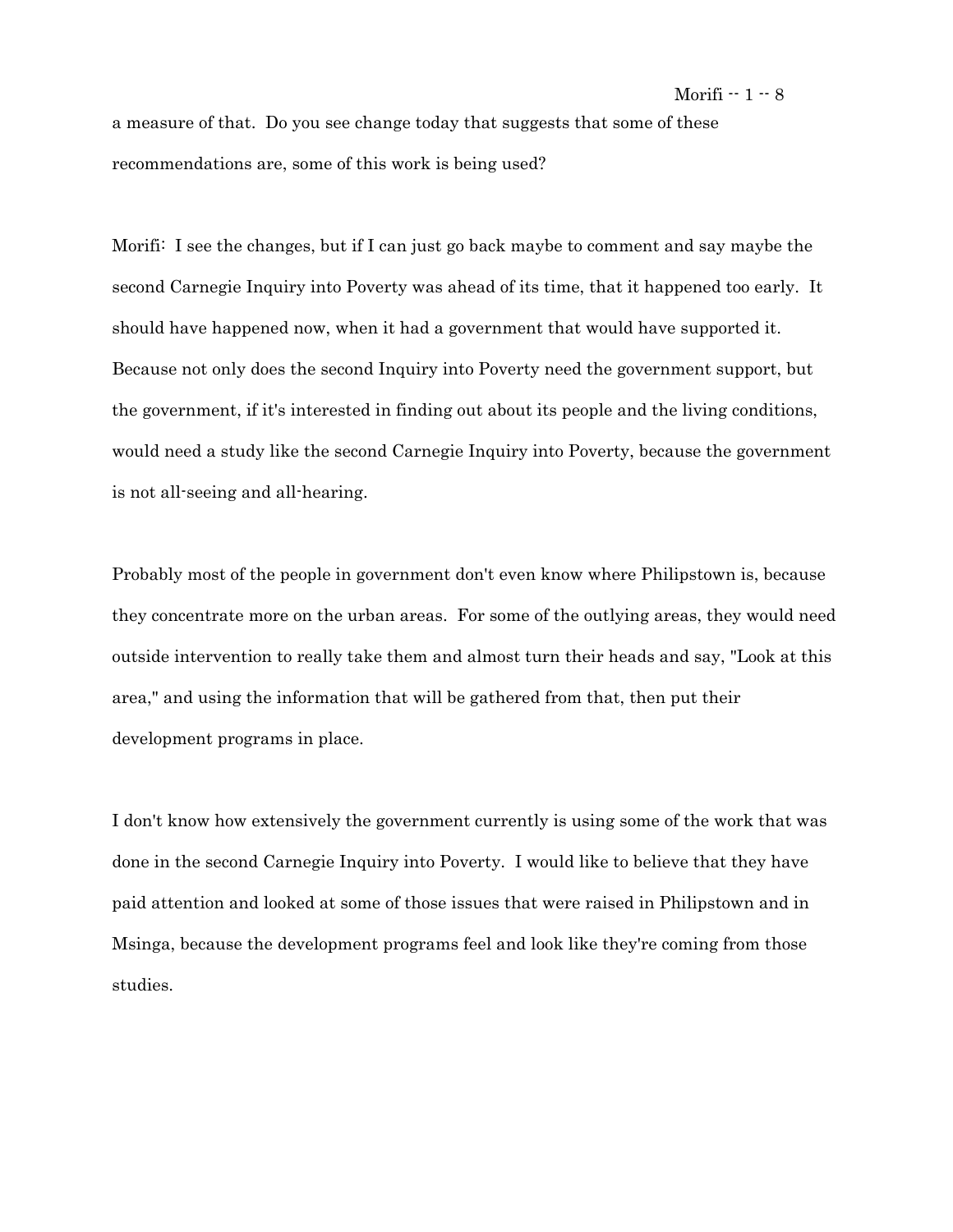#### Morifi  $-1-8$

a measure of that. Do you see change today that suggests that some of these recommendations are, some of this work is being used?

Morifi: I see the changes, but if I can just go back maybe to comment and say maybe the second Carnegie Inquiry into Poverty was ahead of its time, that it happened too early. It should have happened now, when it had a government that would have supported it. Because not only does the second Inquiry into Poverty need the government support, but the government, if it's interested in finding out about its people and the living conditions, would need a study like the second Carnegie Inquiry into Poverty, because the government is not all-seeing and all-hearing.

Probably most of the people in government don't even know where Philipstown is, because they concentrate more on the urban areas. For some of the outlying areas, they would need outside intervention to really take them and almost turn their heads and say, "Look at this area," and using the information that will be gathered from that, then put their development programs in place.

I don't know how extensively the government currently is using some of the work that was done in the second Carnegie Inquiry into Poverty. I would like to believe that they have paid attention and looked at some of those issues that were raised in Philipstown and in Msinga, because the development programs feel and look like they're coming from those studies.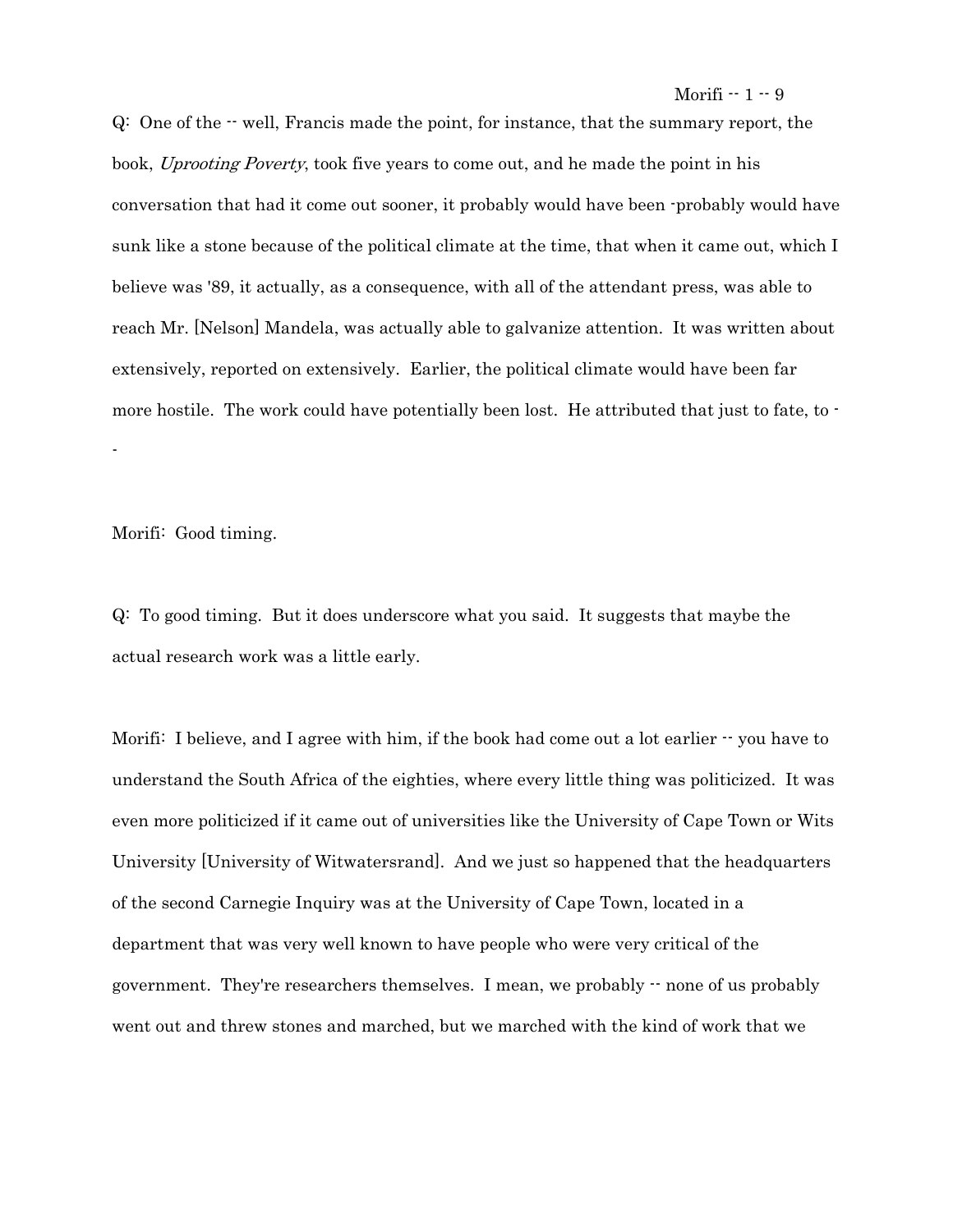Q: One of the -- well, Francis made the point, for instance, that the summary report, the book, Uprooting Poverty, took five years to come out, and he made the point in his conversation that had it come out sooner, it probably would have been -probably would have sunk like a stone because of the political climate at the time, that when it came out, which I believe was '89, it actually, as a consequence, with all of the attendant press, was able to reach Mr. [Nelson] Mandela, was actually able to galvanize attention. It was written about extensively, reported on extensively. Earlier, the political climate would have been far more hostile. The work could have potentially been lost. He attributed that just to fate, to --

Morifi: Good timing.

Q: To good timing. But it does underscore what you said. It suggests that maybe the actual research work was a little early.

Morifi: I believe, and I agree with him, if the book had come out a lot earlier  $\cdot$  you have to understand the South Africa of the eighties, where every little thing was politicized. It was even more politicized if it came out of universities like the University of Cape Town or Wits University [University of Witwatersrand]. And we just so happened that the headquarters of the second Carnegie Inquiry was at the University of Cape Town, located in a department that was very well known to have people who were very critical of the government. They're researchers themselves. I mean, we probably -- none of us probably went out and threw stones and marched, but we marched with the kind of work that we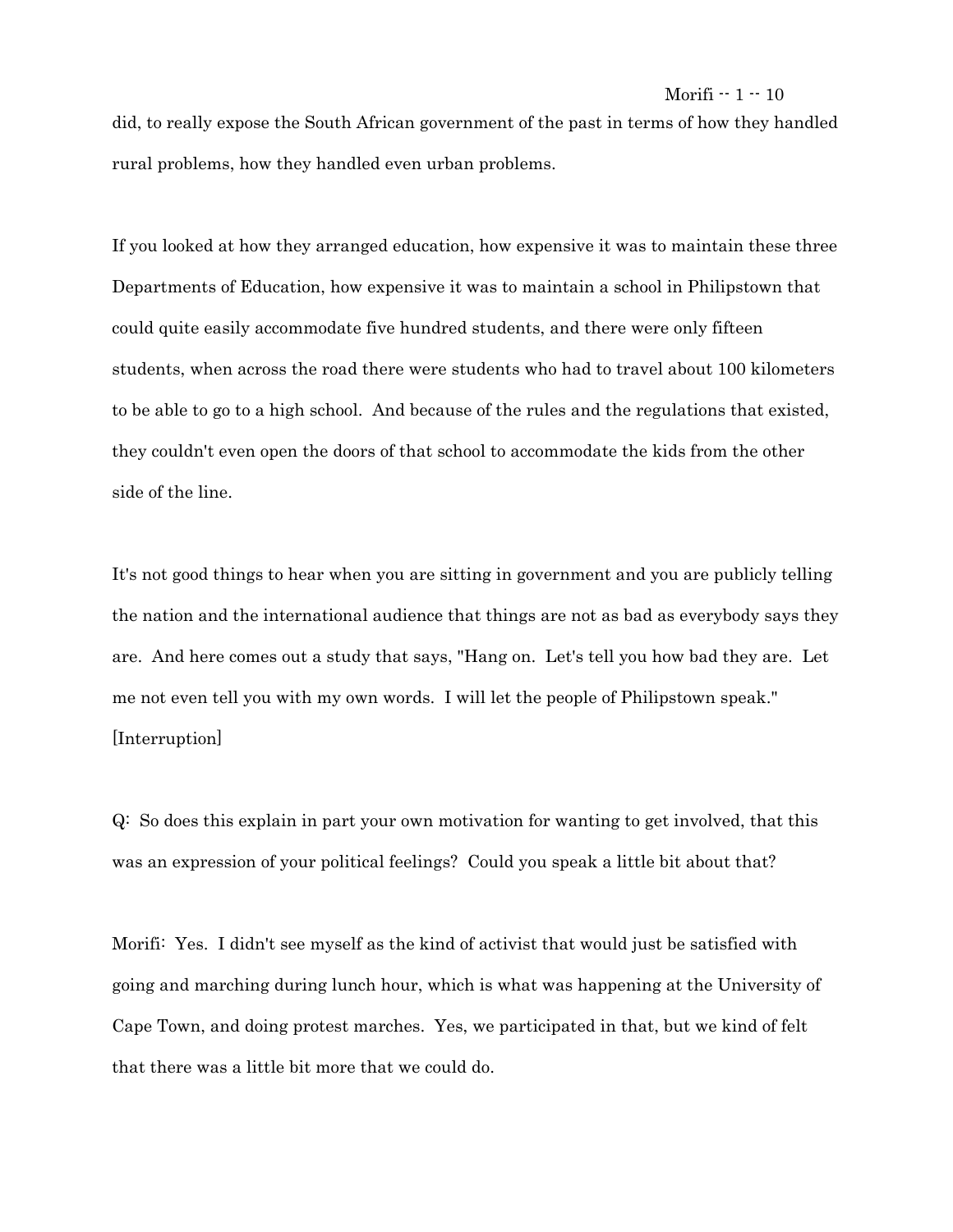did, to really expose the South African government of the past in terms of how they handled rural problems, how they handled even urban problems.

If you looked at how they arranged education, how expensive it was to maintain these three Departments of Education, how expensive it was to maintain a school in Philipstown that could quite easily accommodate five hundred students, and there were only fifteen students, when across the road there were students who had to travel about 100 kilometers to be able to go to a high school. And because of the rules and the regulations that existed, they couldn't even open the doors of that school to accommodate the kids from the other side of the line.

It's not good things to hear when you are sitting in government and you are publicly telling the nation and the international audience that things are not as bad as everybody says they are. And here comes out a study that says, "Hang on. Let's tell you how bad they are. Let me not even tell you with my own words. I will let the people of Philipstown speak." [Interruption]

Q: So does this explain in part your own motivation for wanting to get involved, that this was an expression of your political feelings? Could you speak a little bit about that?

Morifi: Yes. I didn't see myself as the kind of activist that would just be satisfied with going and marching during lunch hour, which is what was happening at the University of Cape Town, and doing protest marches. Yes, we participated in that, but we kind of felt that there was a little bit more that we could do.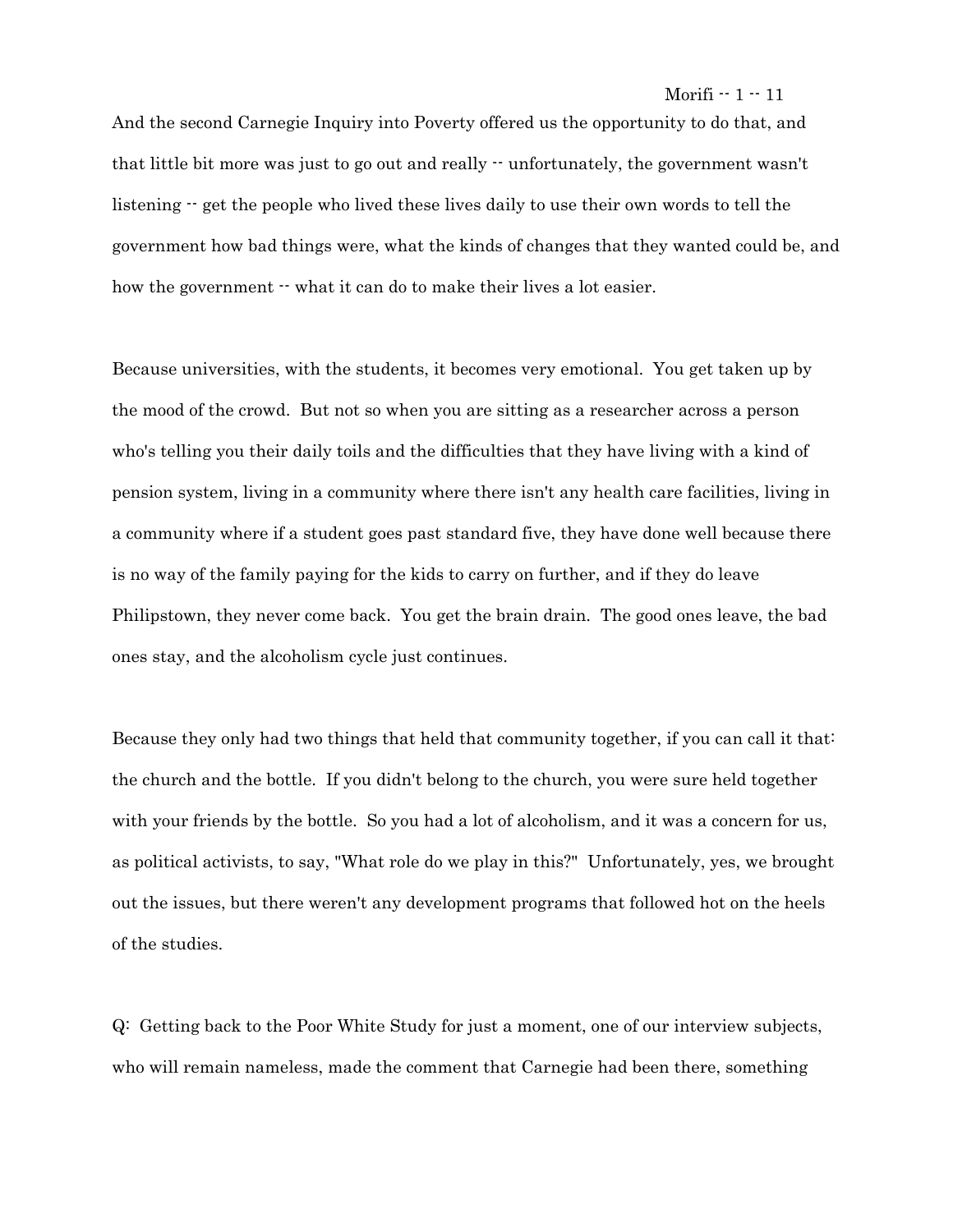And the second Carnegie Inquiry into Poverty offered us the opportunity to do that, and that little bit more was just to go out and really  $\cdot$  unfortunately, the government wasn't listening  $-$  get the people who lived these lives daily to use their own words to tell the government how bad things were, what the kinds of changes that they wanted could be, and how the government  $\cdot\cdot$  what it can do to make their lives a lot easier.

Because universities, with the students, it becomes very emotional. You get taken up by the mood of the crowd. But not so when you are sitting as a researcher across a person who's telling you their daily toils and the difficulties that they have living with a kind of pension system, living in a community where there isn't any health care facilities, living in a community where if a student goes past standard five, they have done well because there is no way of the family paying for the kids to carry on further, and if they do leave Philipstown, they never come back. You get the brain drain. The good ones leave, the bad ones stay, and the alcoholism cycle just continues.

Because they only had two things that held that community together, if you can call it that: the church and the bottle. If you didn't belong to the church, you were sure held together with your friends by the bottle. So you had a lot of alcoholism, and it was a concern for us, as political activists, to say, "What role do we play in this?" Unfortunately, yes, we brought out the issues, but there weren't any development programs that followed hot on the heels of the studies.

Q: Getting back to the Poor White Study for just a moment, one of our interview subjects, who will remain nameless, made the comment that Carnegie had been there, something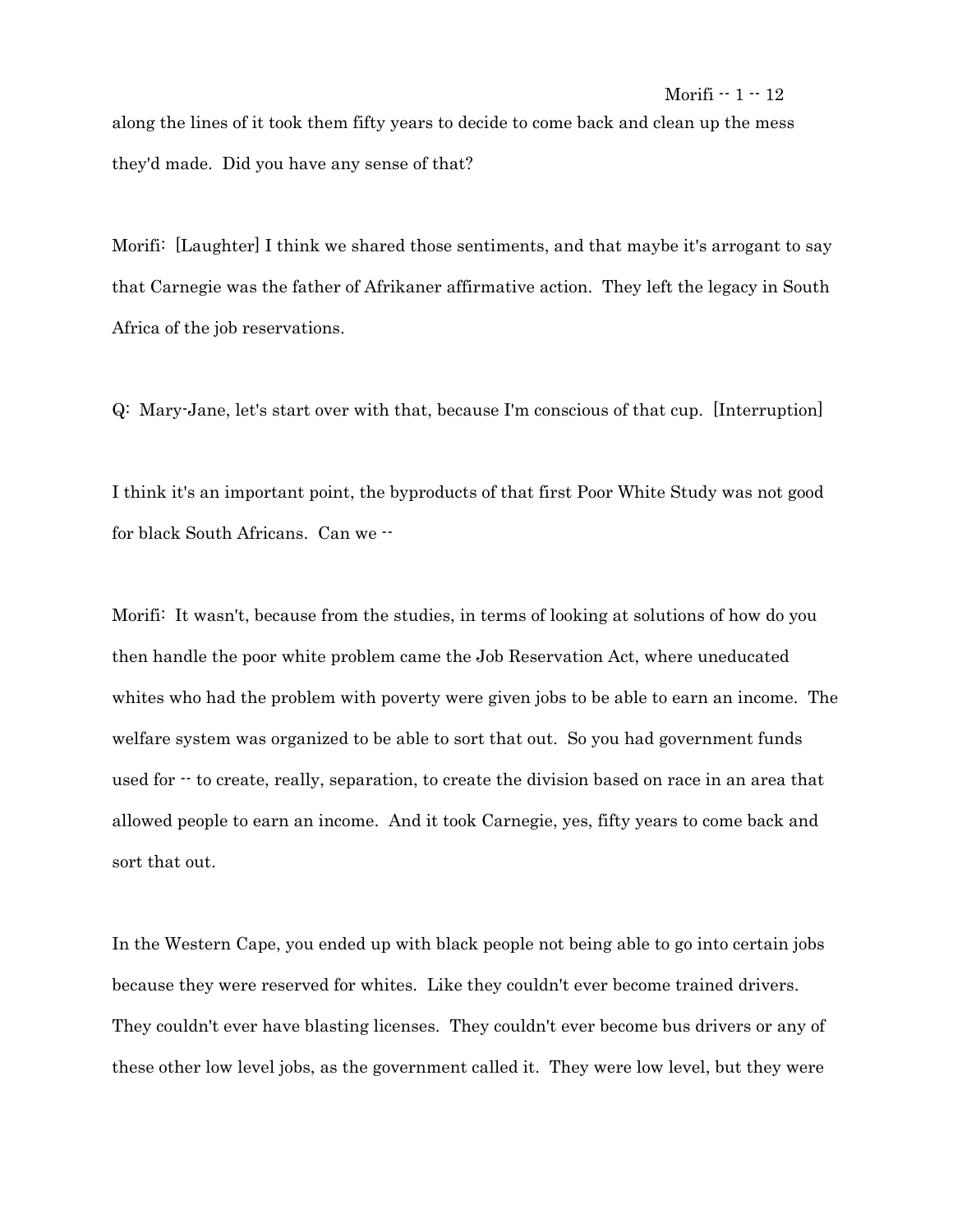along the lines of it took them fifty years to decide to come back and clean up the mess they'd made. Did you have any sense of that?

Morifi: [Laughter] I think we shared those sentiments, and that maybe it's arrogant to say that Carnegie was the father of Afrikaner affirmative action. They left the legacy in South Africa of the job reservations.

Q: Mary-Jane, let's start over with that, because I'm conscious of that cup. [Interruption]

I think it's an important point, the byproducts of that first Poor White Study was not good for black South Africans. Can we --

Morifi: It wasn't, because from the studies, in terms of looking at solutions of how do you then handle the poor white problem came the Job Reservation Act, where uneducated whites who had the problem with poverty were given jobs to be able to earn an income. The welfare system was organized to be able to sort that out. So you had government funds used for  $\cdot$  to create, really, separation, to create the division based on race in an area that allowed people to earn an income. And it took Carnegie, yes, fifty years to come back and sort that out.

In the Western Cape, you ended up with black people not being able to go into certain jobs because they were reserved for whites. Like they couldn't ever become trained drivers. They couldn't ever have blasting licenses. They couldn't ever become bus drivers or any of these other low level jobs, as the government called it. They were low level, but they were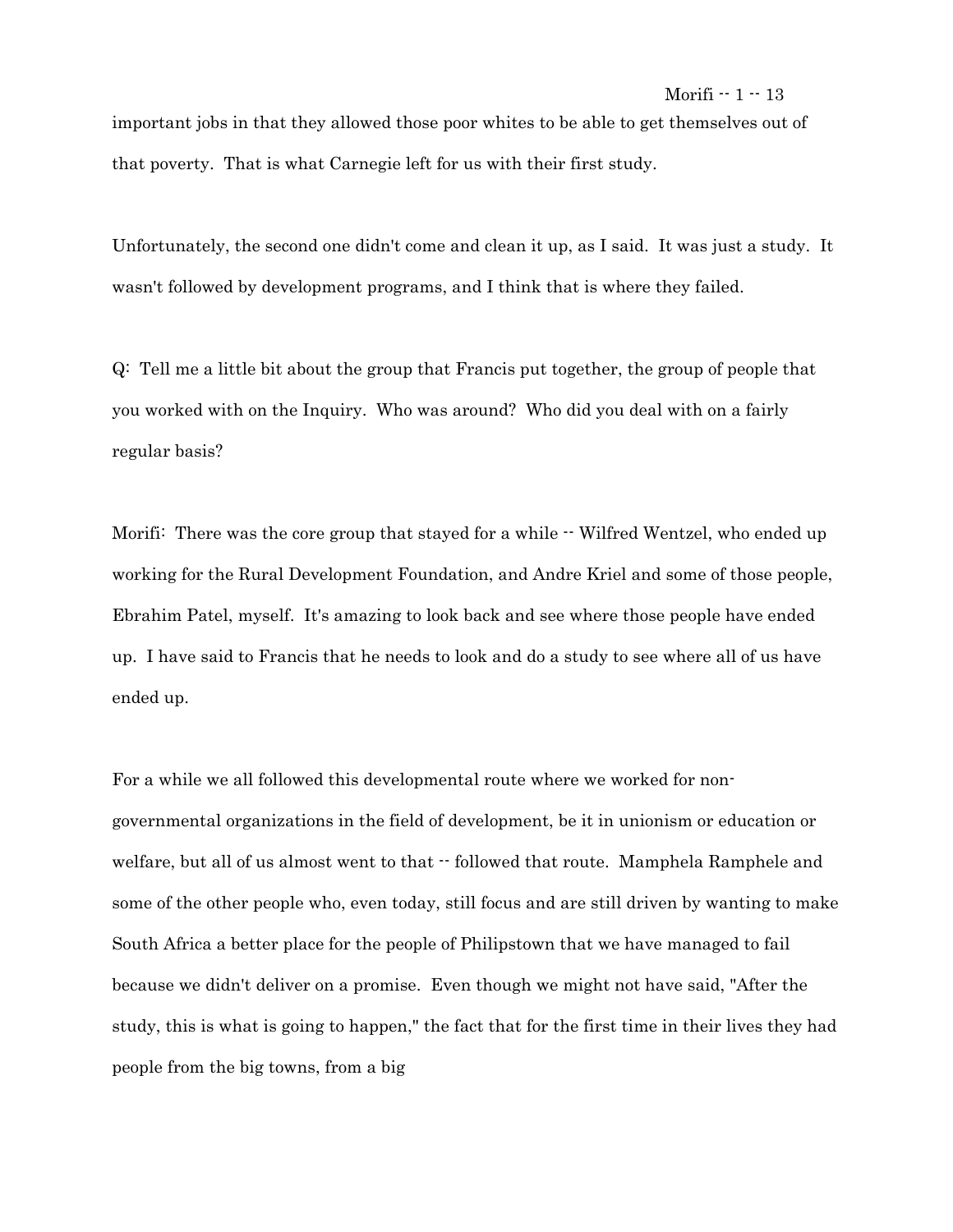### Morifi  $-1 - 13$

important jobs in that they allowed those poor whites to be able to get themselves out of that poverty. That is what Carnegie left for us with their first study.

Unfortunately, the second one didn't come and clean it up, as I said. It was just a study. It wasn't followed by development programs, and I think that is where they failed.

Q: Tell me a little bit about the group that Francis put together, the group of people that you worked with on the Inquiry. Who was around? Who did you deal with on a fairly regular basis?

Morifi: There was the core group that stayed for a while  $\cdot$  Wilfred Wentzel, who ended up working for the Rural Development Foundation, and Andre Kriel and some of those people, Ebrahim Patel, myself. It's amazing to look back and see where those people have ended up. I have said to Francis that he needs to look and do a study to see where all of us have ended up.

For a while we all followed this developmental route where we worked for nongovernmental organizations in the field of development, be it in unionism or education or welfare, but all of us almost went to that  $\cdot\cdot$  followed that route. Mamphela Ramphele and some of the other people who, even today, still focus and are still driven by wanting to make South Africa a better place for the people of Philipstown that we have managed to fail because we didn't deliver on a promise. Even though we might not have said, "After the study, this is what is going to happen," the fact that for the first time in their lives they had people from the big towns, from a big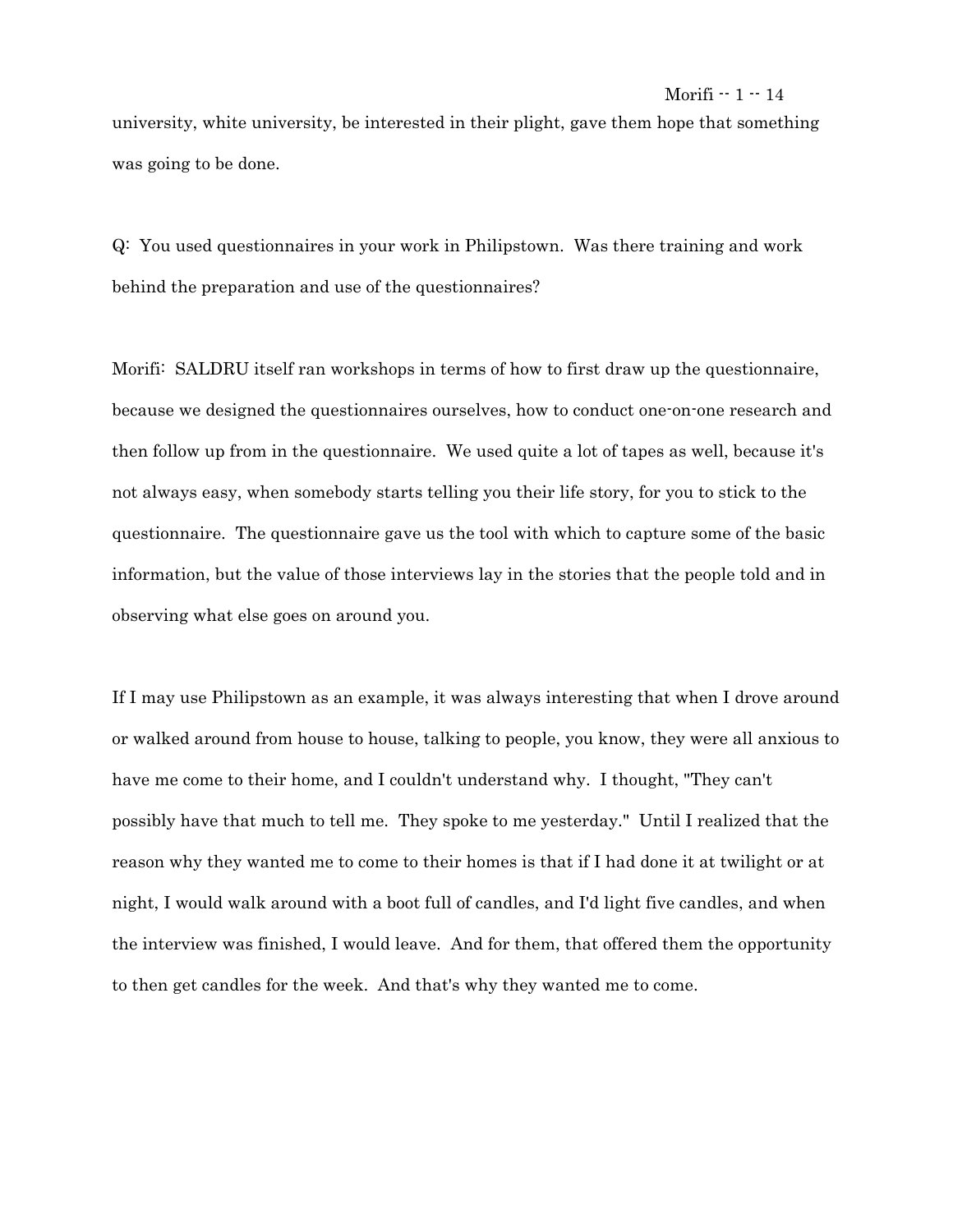university, white university, be interested in their plight, gave them hope that something was going to be done.

Q: You used questionnaires in your work in Philipstown. Was there training and work behind the preparation and use of the questionnaires?

Morifi: SALDRU itself ran workshops in terms of how to first draw up the questionnaire, because we designed the questionnaires ourselves, how to conduct one-on-one research and then follow up from in the questionnaire. We used quite a lot of tapes as well, because it's not always easy, when somebody starts telling you their life story, for you to stick to the questionnaire. The questionnaire gave us the tool with which to capture some of the basic information, but the value of those interviews lay in the stories that the people told and in observing what else goes on around you.

If I may use Philipstown as an example, it was always interesting that when I drove around or walked around from house to house, talking to people, you know, they were all anxious to have me come to their home, and I couldn't understand why. I thought, "They can't possibly have that much to tell me. They spoke to me yesterday." Until I realized that the reason why they wanted me to come to their homes is that if I had done it at twilight or at night, I would walk around with a boot full of candles, and I'd light five candles, and when the interview was finished, I would leave. And for them, that offered them the opportunity to then get candles for the week. And that's why they wanted me to come.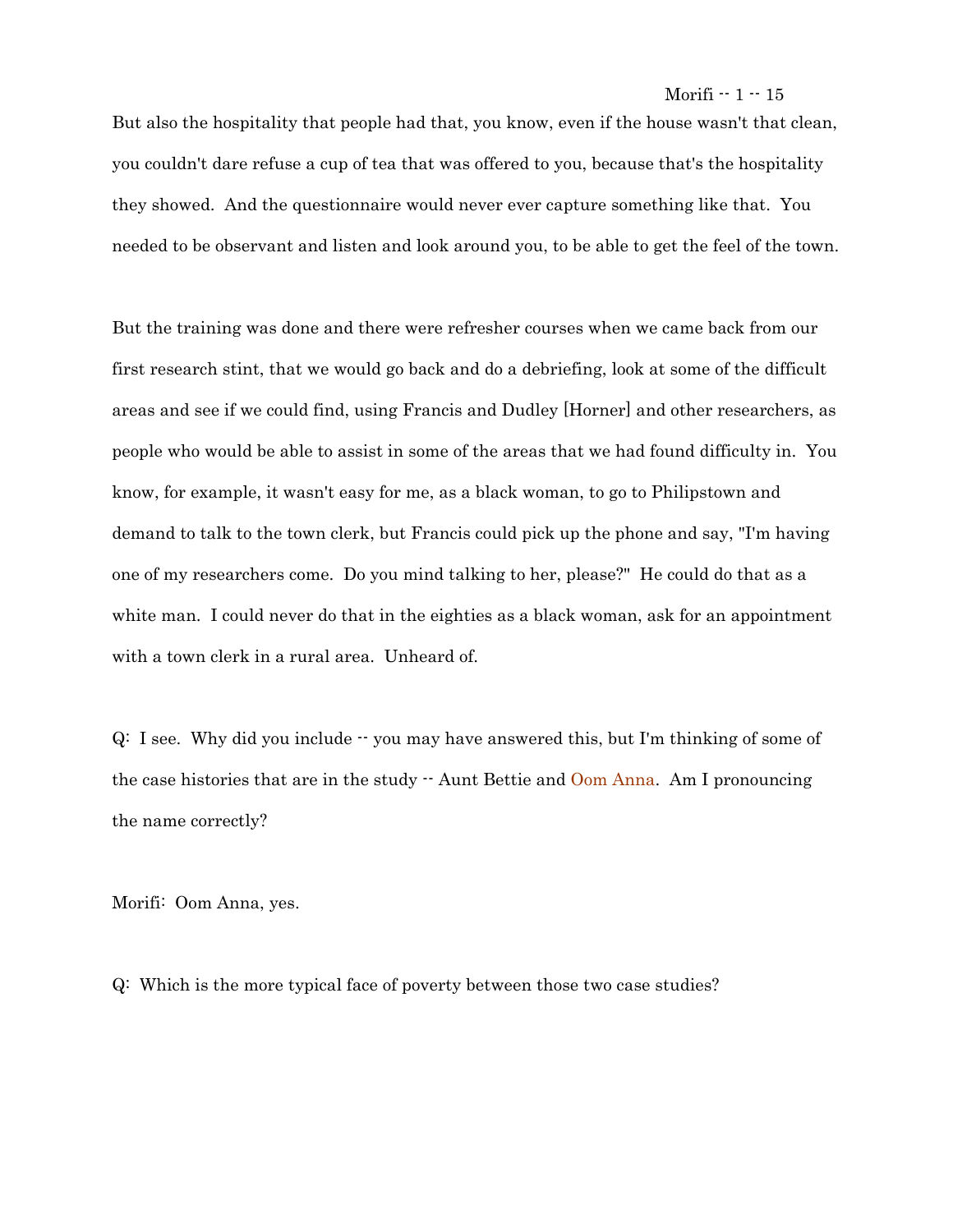But also the hospitality that people had that, you know, even if the house wasn't that clean, you couldn't dare refuse a cup of tea that was offered to you, because that's the hospitality they showed. And the questionnaire would never ever capture something like that. You needed to be observant and listen and look around you, to be able to get the feel of the town.

But the training was done and there were refresher courses when we came back from our first research stint, that we would go back and do a debriefing, look at some of the difficult areas and see if we could find, using Francis and Dudley [Horner] and other researchers, as people who would be able to assist in some of the areas that we had found difficulty in. You know, for example, it wasn't easy for me, as a black woman, to go to Philipstown and demand to talk to the town clerk, but Francis could pick up the phone and say, "I'm having one of my researchers come. Do you mind talking to her, please?" He could do that as a white man. I could never do that in the eighties as a black woman, ask for an appointment with a town clerk in a rural area. Unheard of.

Q: I see. Why did you include -- you may have answered this, but I'm thinking of some of the case histories that are in the study  $\cdot$  Aunt Bettie and Oom Anna. Am I pronouncing the name correctly?

Morifi: Oom Anna, yes.

Q: Which is the more typical face of poverty between those two case studies?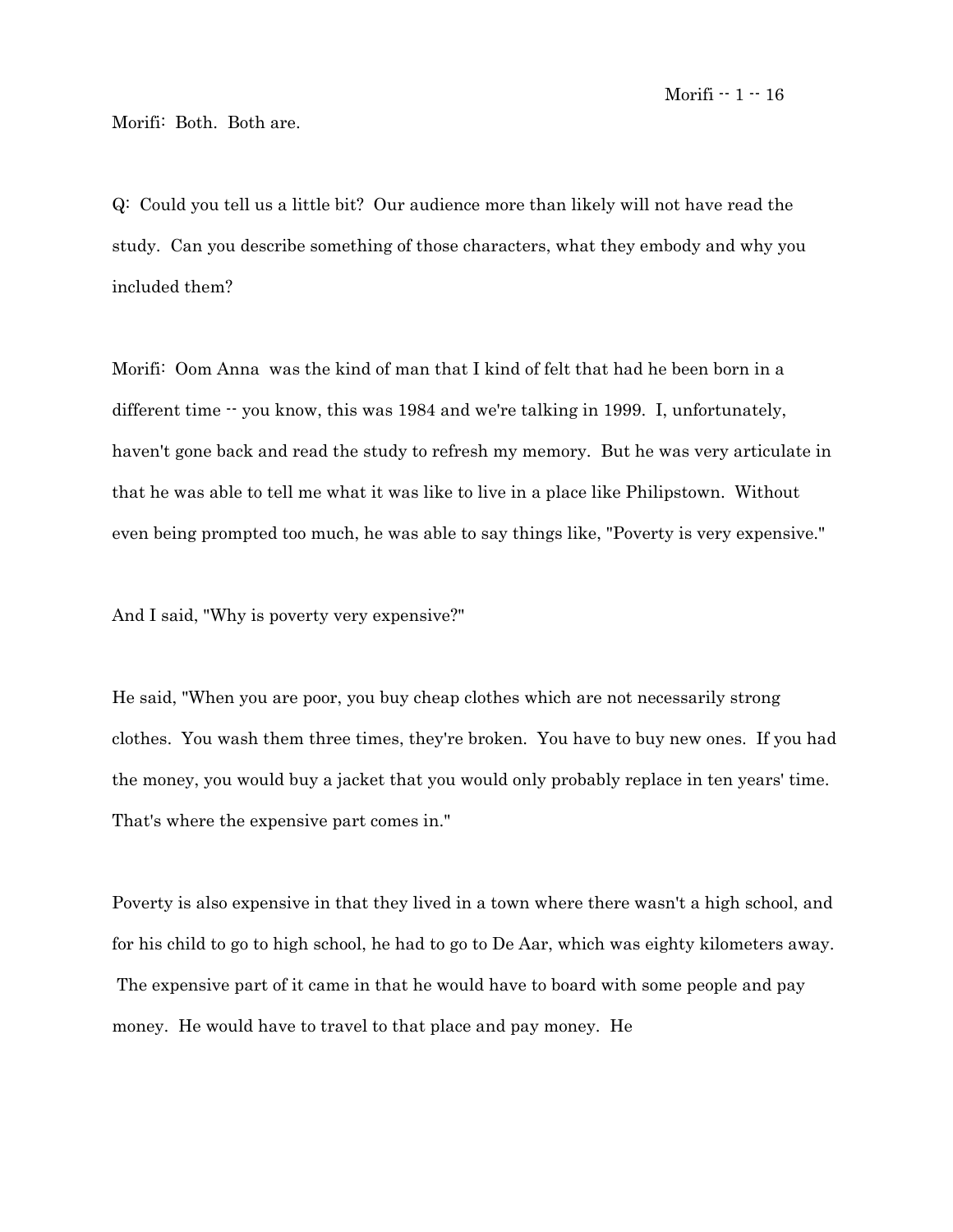Morifi: Both. Both are.

Q: Could you tell us a little bit? Our audience more than likely will not have read the study. Can you describe something of those characters, what they embody and why you included them?

Morifi: Oom Anna was the kind of man that I kind of felt that had he been born in a different time -- you know, this was 1984 and we're talking in 1999. I, unfortunately, haven't gone back and read the study to refresh my memory. But he was very articulate in that he was able to tell me what it was like to live in a place like Philipstown. Without even being prompted too much, he was able to say things like, "Poverty is very expensive."

And I said, "Why is poverty very expensive?"

He said, "When you are poor, you buy cheap clothes which are not necessarily strong clothes. You wash them three times, they're broken. You have to buy new ones. If you had the money, you would buy a jacket that you would only probably replace in ten years' time. That's where the expensive part comes in."

Poverty is also expensive in that they lived in a town where there wasn't a high school, and for his child to go to high school, he had to go to De Aar, which was eighty kilometers away. The expensive part of it came in that he would have to board with some people and pay money. He would have to travel to that place and pay money. He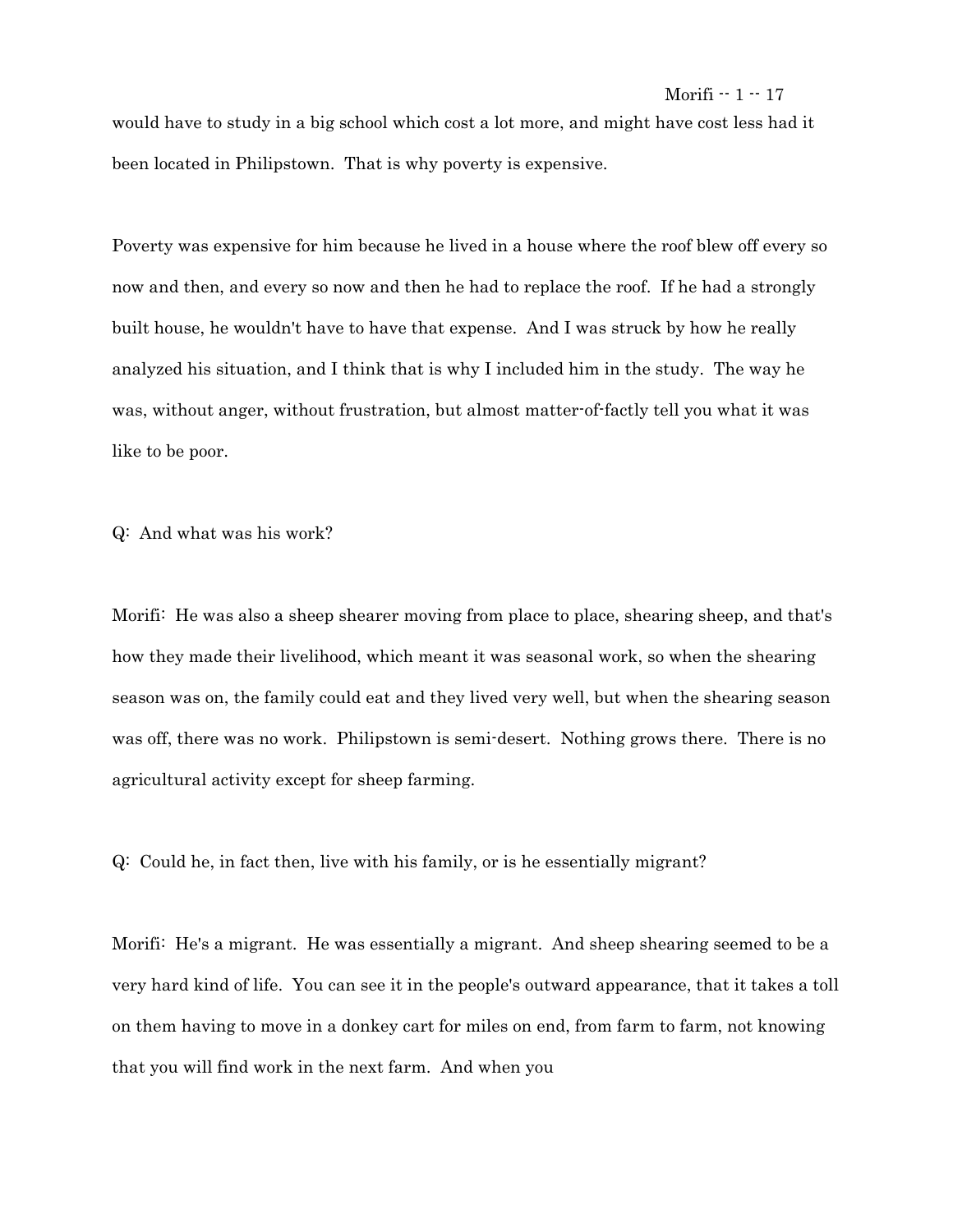would have to study in a big school which cost a lot more, and might have cost less had it been located in Philipstown. That is why poverty is expensive.

Poverty was expensive for him because he lived in a house where the roof blew off every so now and then, and every so now and then he had to replace the roof. If he had a strongly built house, he wouldn't have to have that expense. And I was struck by how he really analyzed his situation, and I think that is why I included him in the study. The way he was, without anger, without frustration, but almost matter-of-factly tell you what it was like to be poor.

Q: And what was his work?

Morifi: He was also a sheep shearer moving from place to place, shearing sheep, and that's how they made their livelihood, which meant it was seasonal work, so when the shearing season was on, the family could eat and they lived very well, but when the shearing season was off, there was no work. Philipstown is semi-desert. Nothing grows there. There is no agricultural activity except for sheep farming.

Q: Could he, in fact then, live with his family, or is he essentially migrant?

Morifi: He's a migrant. He was essentially a migrant. And sheep shearing seemed to be a very hard kind of life. You can see it in the people's outward appearance, that it takes a toll on them having to move in a donkey cart for miles on end, from farm to farm, not knowing that you will find work in the next farm. And when you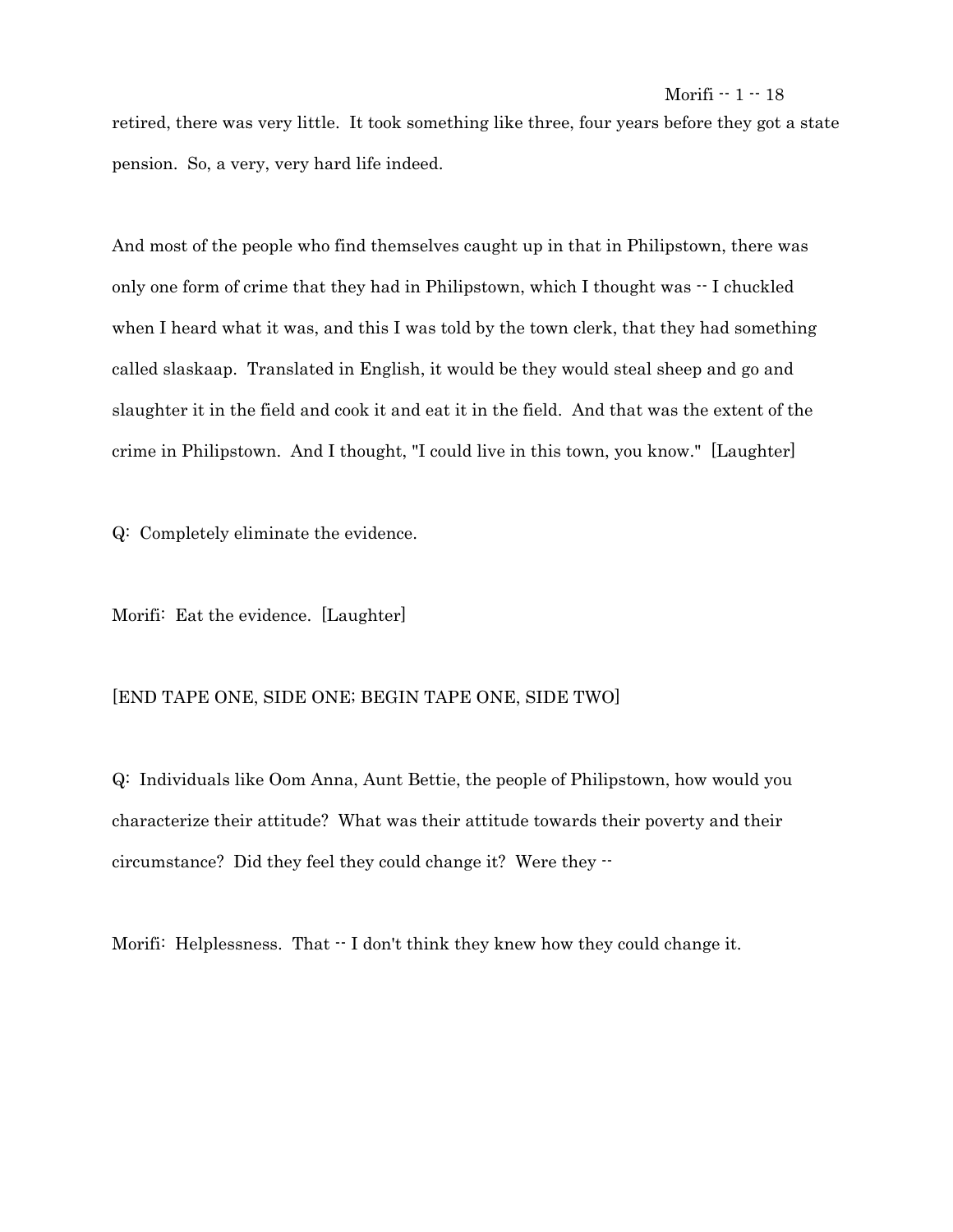retired, there was very little. It took something like three, four years before they got a state pension. So, a very, very hard life indeed.

And most of the people who find themselves caught up in that in Philipstown, there was only one form of crime that they had in Philipstown, which I thought was -- I chuckled when I heard what it was, and this I was told by the town clerk, that they had something called slaskaap. Translated in English, it would be they would steal sheep and go and slaughter it in the field and cook it and eat it in the field. And that was the extent of the crime in Philipstown. And I thought, "I could live in this town, you know." [Laughter]

Q: Completely eliminate the evidence.

Morifi: Eat the evidence. [Laughter]

# [END TAPE ONE, SIDE ONE; BEGIN TAPE ONE, SIDE TWO]

Q: Individuals like Oom Anna, Aunt Bettie, the people of Philipstown, how would you characterize their attitude? What was their attitude towards their poverty and their circumstance? Did they feel they could change it? Were they --

Morifi: Helplessness. That  $\cdot$  I don't think they knew how they could change it.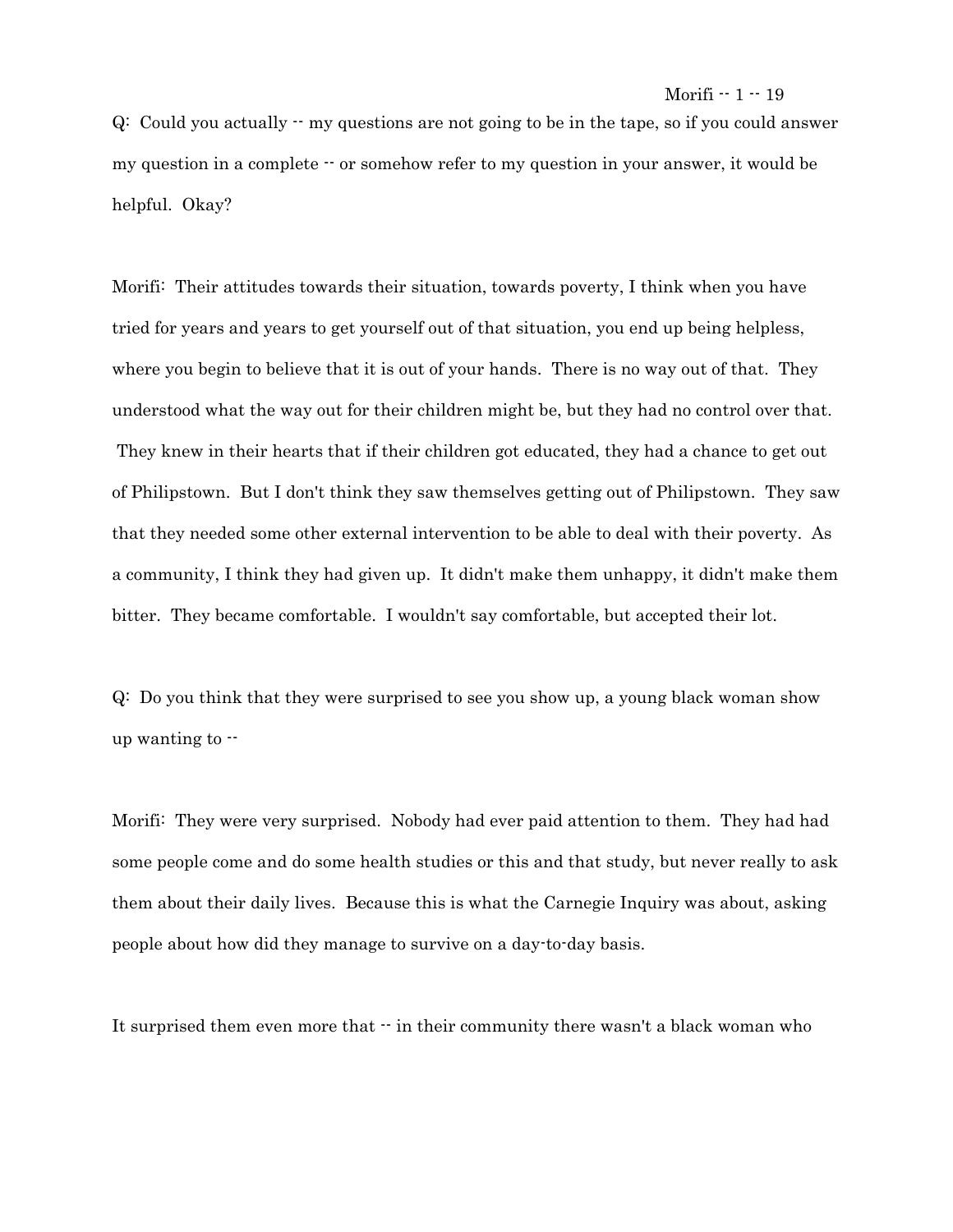$Q:$  Could you actually  $-$  my questions are not going to be in the tape, so if you could answer my question in a complete  $\cdot \cdot$  or somehow refer to my question in your answer, it would be helpful. Okay?

Morifi: Their attitudes towards their situation, towards poverty, I think when you have tried for years and years to get yourself out of that situation, you end up being helpless, where you begin to believe that it is out of your hands. There is no way out of that. They understood what the way out for their children might be, but they had no control over that. They knew in their hearts that if their children got educated, they had a chance to get out of Philipstown. But I don't think they saw themselves getting out of Philipstown. They saw that they needed some other external intervention to be able to deal with their poverty. As a community, I think they had given up. It didn't make them unhappy, it didn't make them bitter. They became comfortable. I wouldn't say comfortable, but accepted their lot.

Q: Do you think that they were surprised to see you show up, a young black woman show up wanting to --

Morifi: They were very surprised. Nobody had ever paid attention to them. They had had some people come and do some health studies or this and that study, but never really to ask them about their daily lives. Because this is what the Carnegie Inquiry was about, asking people about how did they manage to survive on a day-to-day basis.

It surprised them even more that  $\cdot \cdot$  in their community there wasn't a black woman who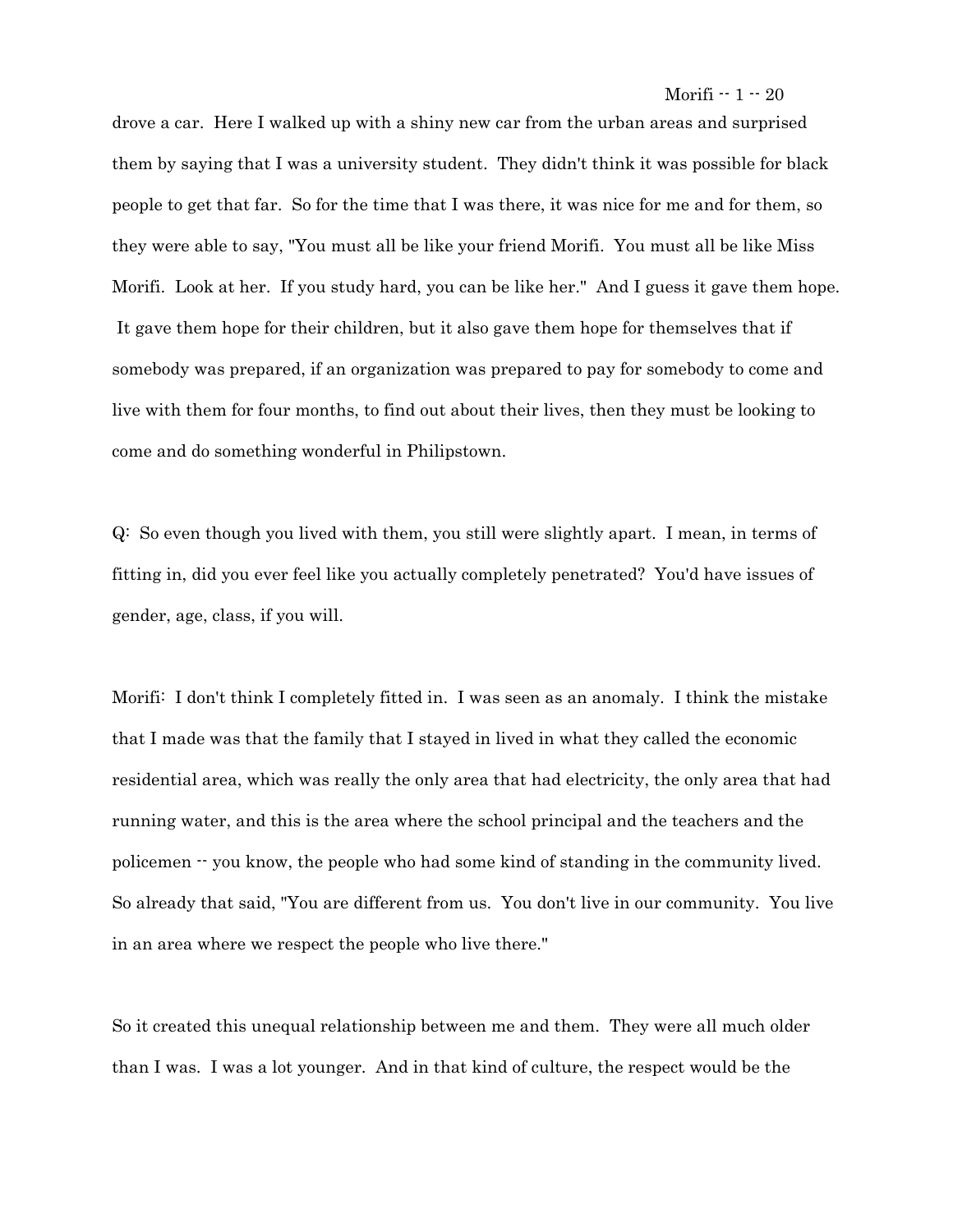drove a car. Here I walked up with a shiny new car from the urban areas and surprised them by saying that I was a university student. They didn't think it was possible for black people to get that far. So for the time that I was there, it was nice for me and for them, so they were able to say, "You must all be like your friend Morifi. You must all be like Miss Morifi. Look at her. If you study hard, you can be like her." And I guess it gave them hope. It gave them hope for their children, but it also gave them hope for themselves that if somebody was prepared, if an organization was prepared to pay for somebody to come and live with them for four months, to find out about their lives, then they must be looking to come and do something wonderful in Philipstown.

Q: So even though you lived with them, you still were slightly apart. I mean, in terms of fitting in, did you ever feel like you actually completely penetrated? You'd have issues of gender, age, class, if you will.

Morifi: I don't think I completely fitted in. I was seen as an anomaly. I think the mistake that I made was that the family that I stayed in lived in what they called the economic residential area, which was really the only area that had electricity, the only area that had running water, and this is the area where the school principal and the teachers and the policemen -- you know, the people who had some kind of standing in the community lived. So already that said, "You are different from us. You don't live in our community. You live in an area where we respect the people who live there."

So it created this unequal relationship between me and them. They were all much older than I was. I was a lot younger. And in that kind of culture, the respect would be the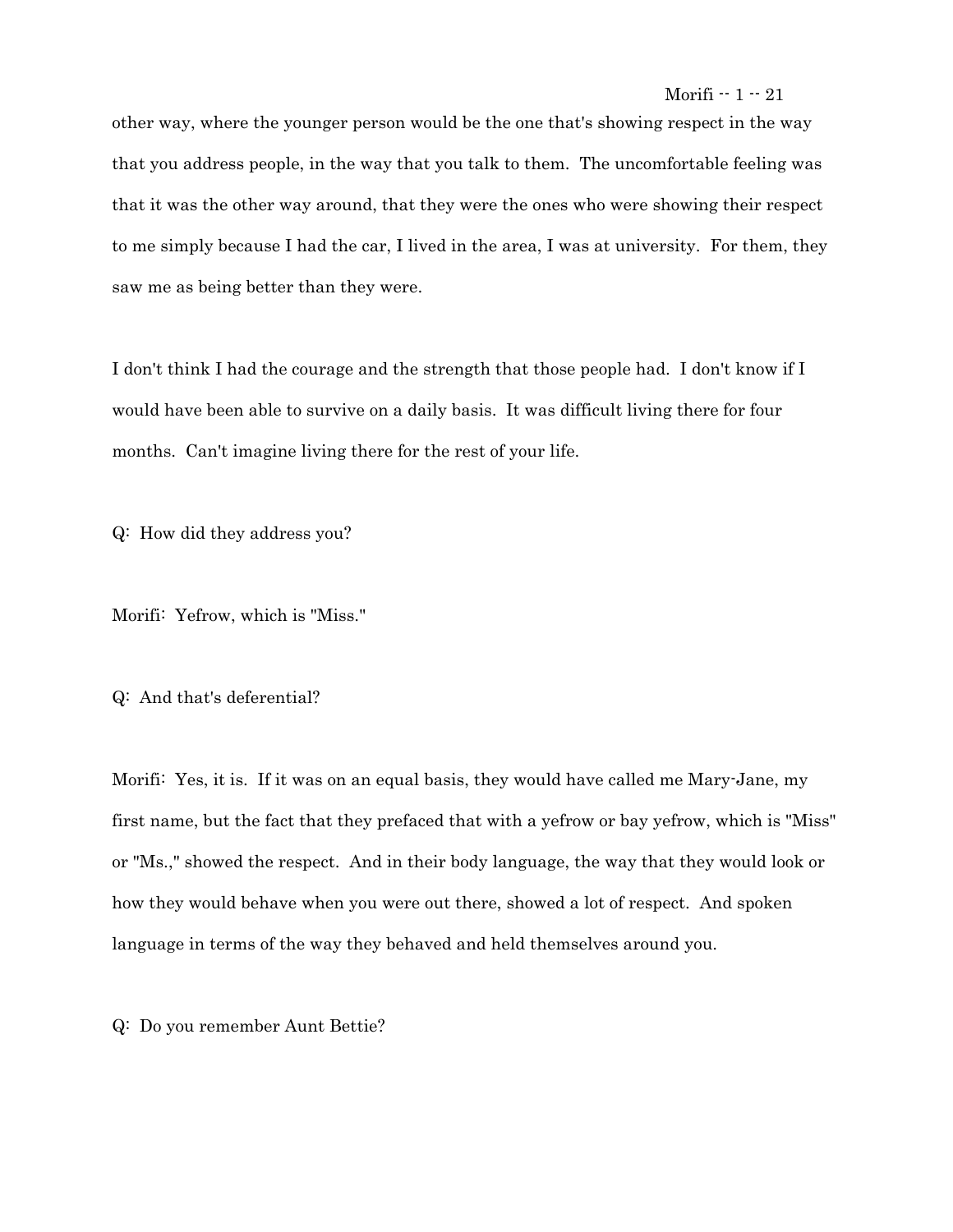other way, where the younger person would be the one that's showing respect in the way that you address people, in the way that you talk to them. The uncomfortable feeling was that it was the other way around, that they were the ones who were showing their respect to me simply because I had the car, I lived in the area, I was at university. For them, they saw me as being better than they were.

I don't think I had the courage and the strength that those people had. I don't know if I would have been able to survive on a daily basis. It was difficult living there for four months. Can't imagine living there for the rest of your life.

Q: How did they address you?

Morifi: Yefrow, which is "Miss."

Q: And that's deferential?

Morifi: Yes, it is. If it was on an equal basis, they would have called me Mary-Jane, my first name, but the fact that they prefaced that with a yefrow or bay yefrow, which is "Miss" or "Ms.," showed the respect. And in their body language, the way that they would look or how they would behave when you were out there, showed a lot of respect. And spoken language in terms of the way they behaved and held themselves around you.

Q: Do you remember Aunt Bettie?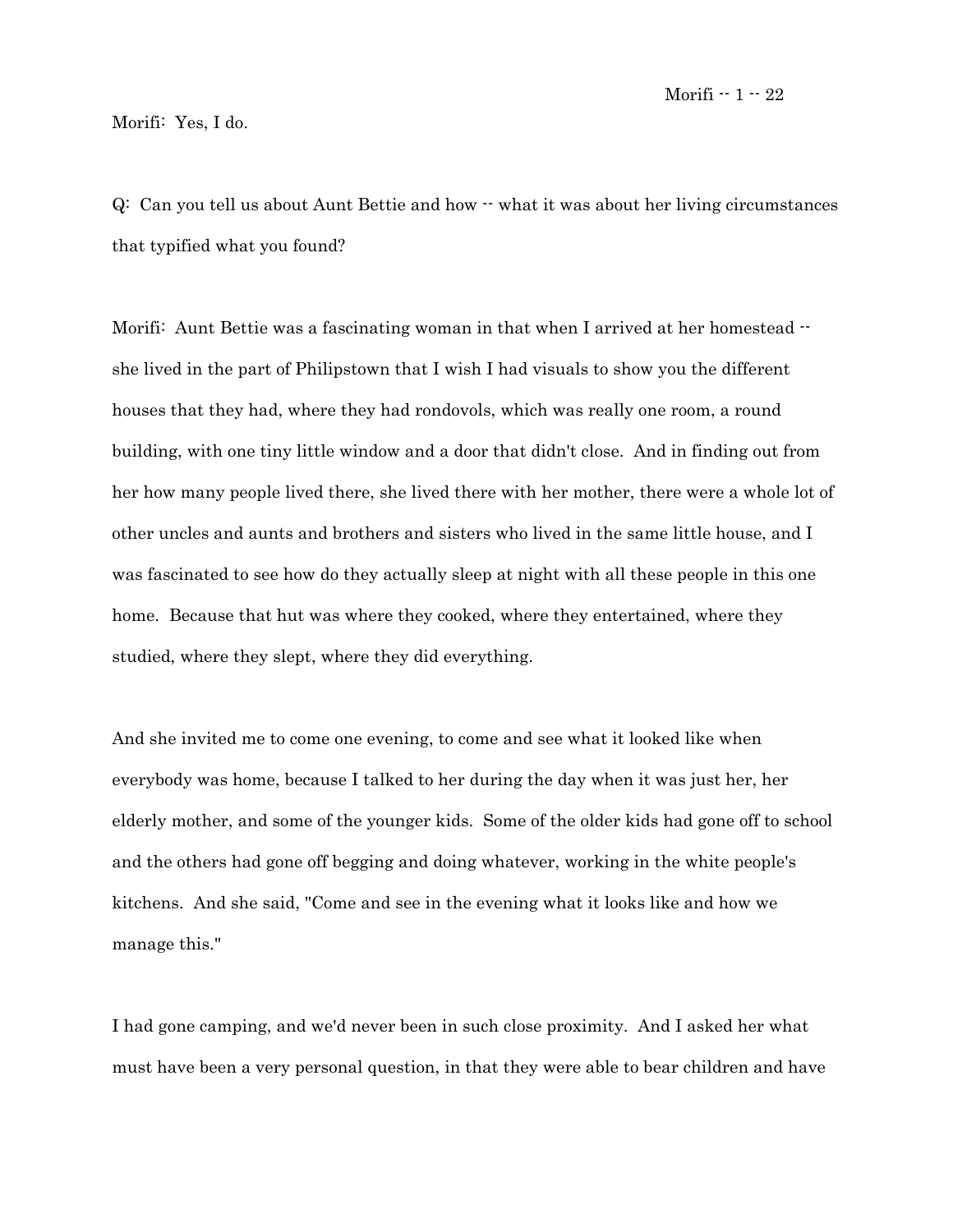Morifi: Yes, I do.

 $Q:$  Can you tell us about Aunt Bettie and how  $\cdot \cdot$  what it was about her living circumstances that typified what you found?

Morifi: Aunt Bettie was a fascinating woman in that when I arrived at her homestead  $\cdot$ she lived in the part of Philipstown that I wish I had visuals to show you the different houses that they had, where they had rondovols, which was really one room, a round building, with one tiny little window and a door that didn't close. And in finding out from her how many people lived there, she lived there with her mother, there were a whole lot of other uncles and aunts and brothers and sisters who lived in the same little house, and I was fascinated to see how do they actually sleep at night with all these people in this one home. Because that hut was where they cooked, where they entertained, where they studied, where they slept, where they did everything.

And she invited me to come one evening, to come and see what it looked like when everybody was home, because I talked to her during the day when it was just her, her elderly mother, and some of the younger kids. Some of the older kids had gone off to school and the others had gone off begging and doing whatever, working in the white people's kitchens. And she said, "Come and see in the evening what it looks like and how we manage this."

I had gone camping, and we'd never been in such close proximity. And I asked her what must have been a very personal question, in that they were able to bear children and have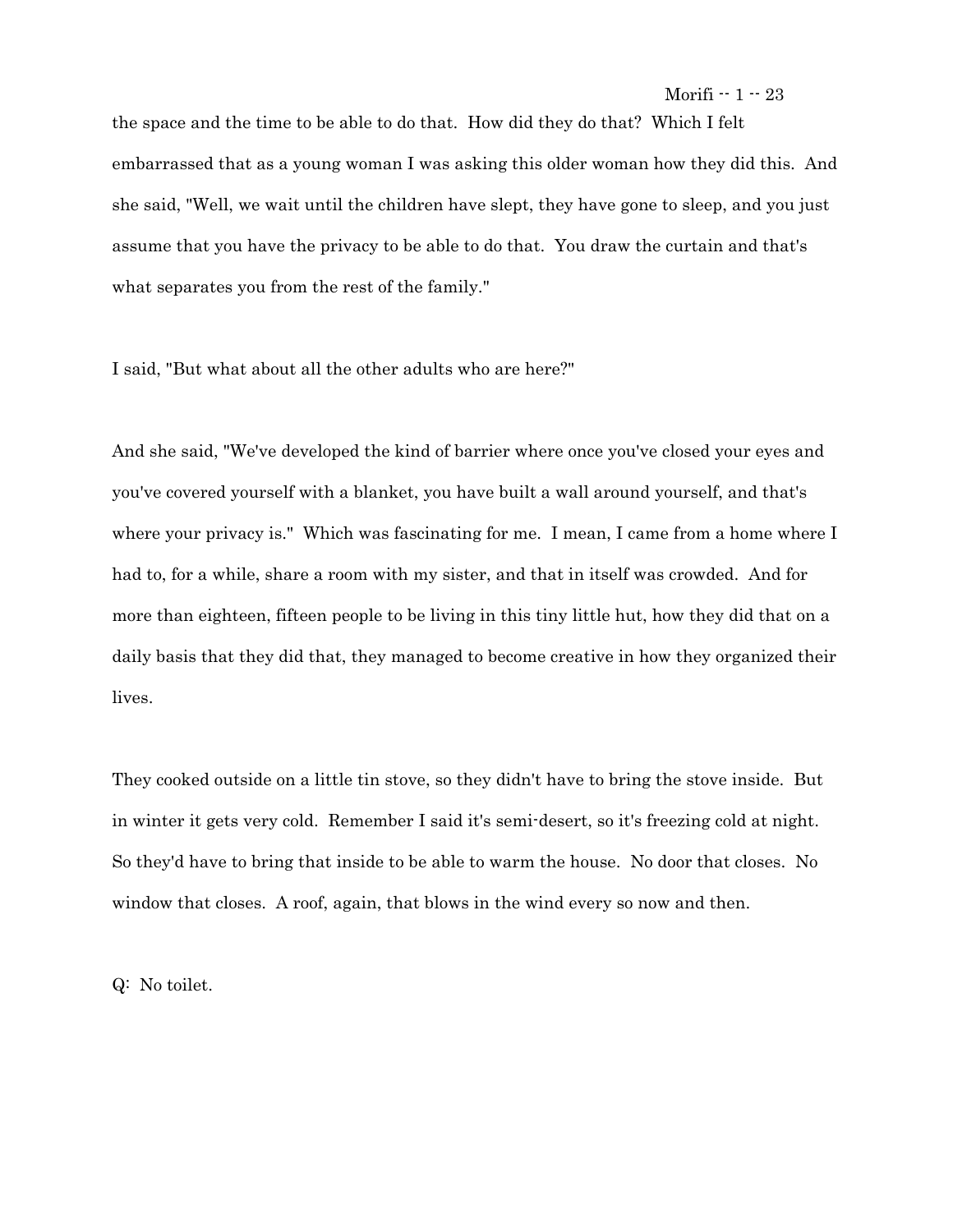the space and the time to be able to do that. How did they do that? Which I felt embarrassed that as a young woman I was asking this older woman how they did this. And she said, "Well, we wait until the children have slept, they have gone to sleep, and you just assume that you have the privacy to be able to do that. You draw the curtain and that's what separates you from the rest of the family."

I said, "But what about all the other adults who are here?"

And she said, "We've developed the kind of barrier where once you've closed your eyes and you've covered yourself with a blanket, you have built a wall around yourself, and that's where your privacy is." Which was fascinating for me. I mean, I came from a home where I had to, for a while, share a room with my sister, and that in itself was crowded. And for more than eighteen, fifteen people to be living in this tiny little hut, how they did that on a daily basis that they did that, they managed to become creative in how they organized their lives.

They cooked outside on a little tin stove, so they didn't have to bring the stove inside. But in winter it gets very cold. Remember I said it's semi-desert, so it's freezing cold at night. So they'd have to bring that inside to be able to warm the house. No door that closes. No window that closes. A roof, again, that blows in the wind every so now and then.

Q: No toilet.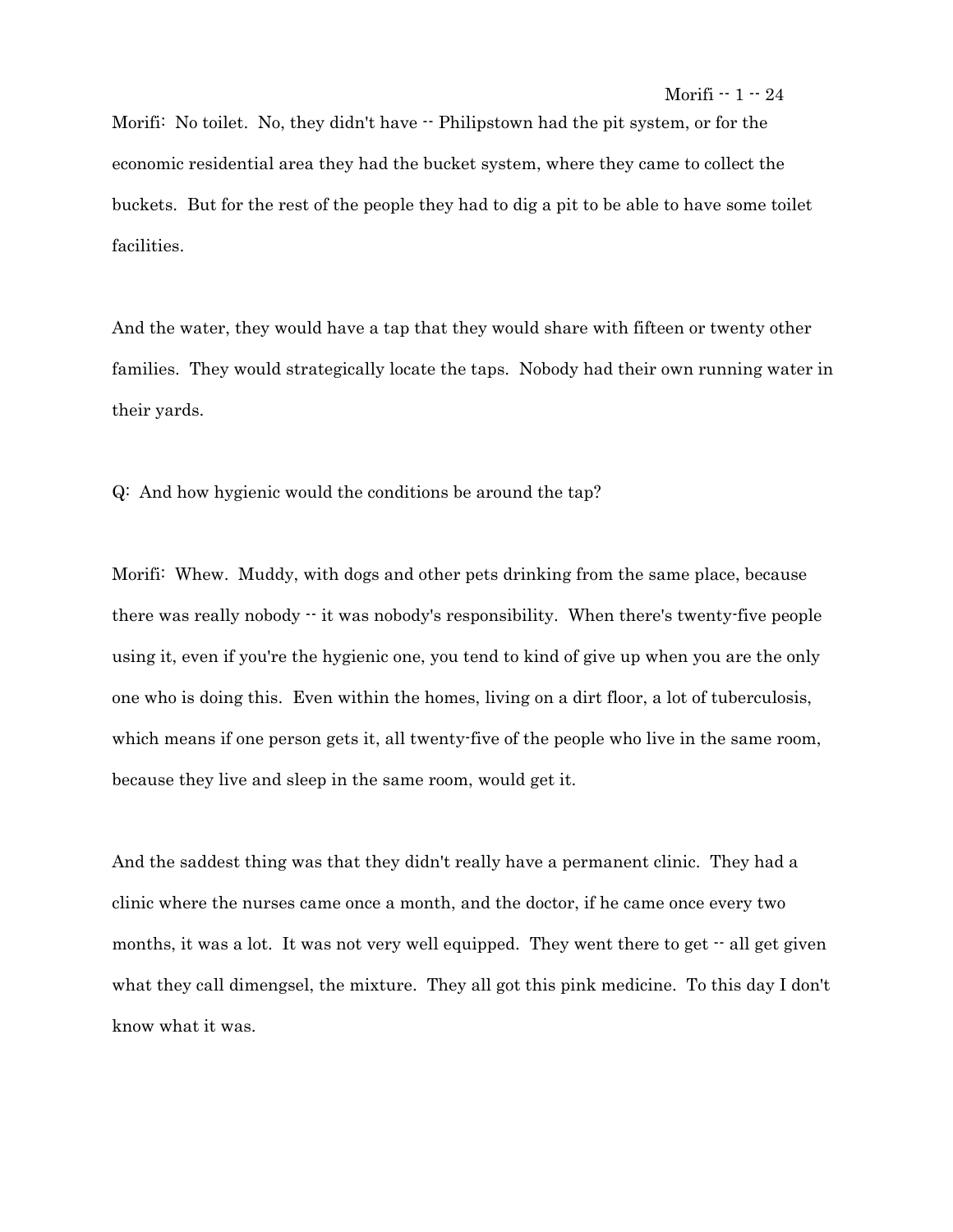Morifi: No toilet. No, they didn't have  $\cdot$  Philipstown had the pit system, or for the economic residential area they had the bucket system, where they came to collect the buckets. But for the rest of the people they had to dig a pit to be able to have some toilet facilities.

And the water, they would have a tap that they would share with fifteen or twenty other families. They would strategically locate the taps. Nobody had their own running water in their yards.

Q: And how hygienic would the conditions be around the tap?

Morifi: Whew. Muddy, with dogs and other pets drinking from the same place, because there was really nobody -- it was nobody's responsibility. When there's twenty-five people using it, even if you're the hygienic one, you tend to kind of give up when you are the only one who is doing this. Even within the homes, living on a dirt floor, a lot of tuberculosis, which means if one person gets it, all twenty-five of the people who live in the same room, because they live and sleep in the same room, would get it.

And the saddest thing was that they didn't really have a permanent clinic. They had a clinic where the nurses came once a month, and the doctor, if he came once every two months, it was a lot. It was not very well equipped. They went there to get  $-$  all get given what they call dimengsel, the mixture. They all got this pink medicine. To this day I don't know what it was.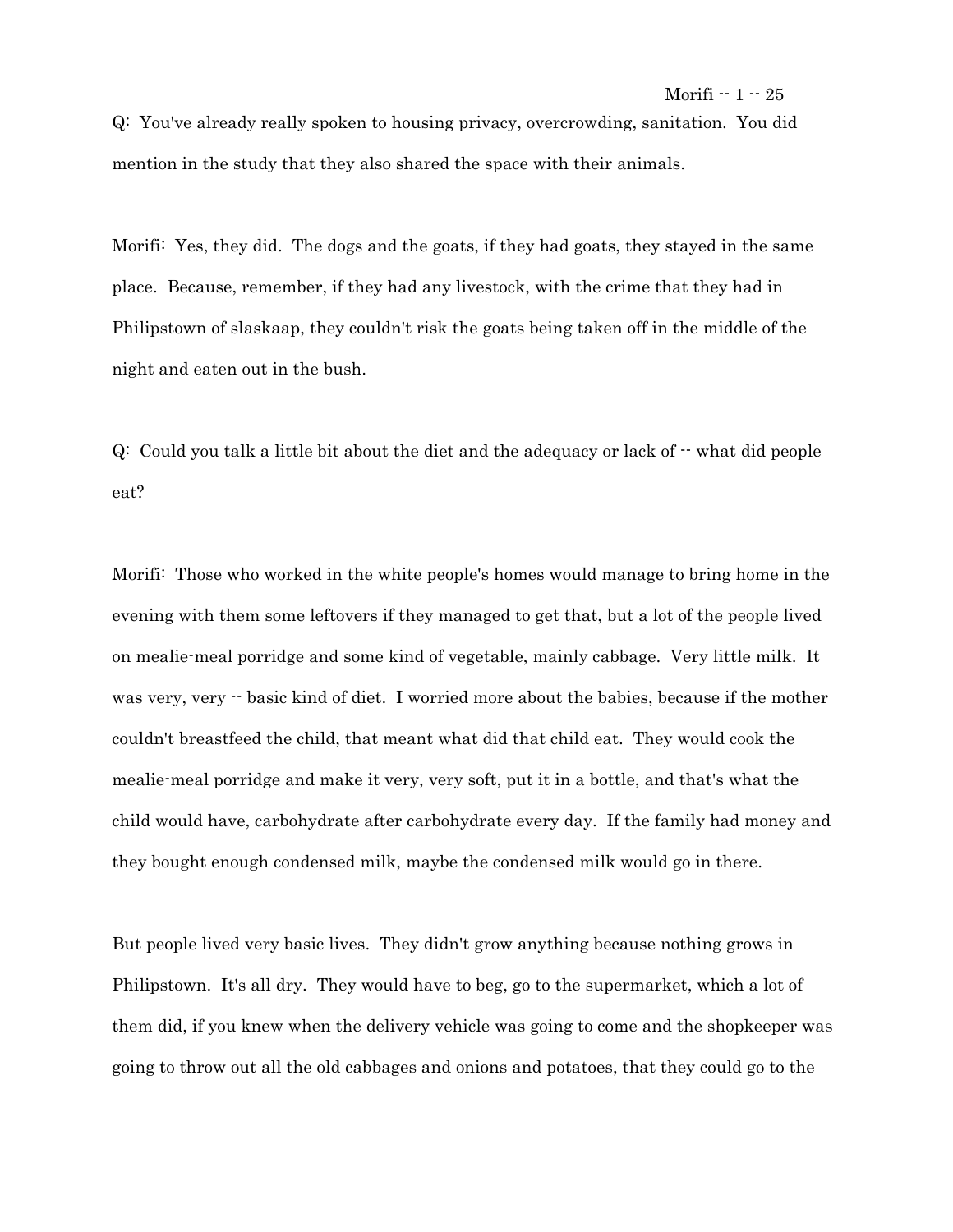Q: You've already really spoken to housing privacy, overcrowding, sanitation. You did mention in the study that they also shared the space with their animals.

Morifi: Yes, they did. The dogs and the goats, if they had goats, they stayed in the same place. Because, remember, if they had any livestock, with the crime that they had in Philipstown of slaskaap, they couldn't risk the goats being taken off in the middle of the night and eaten out in the bush.

 $Q:$  Could you talk a little bit about the diet and the adequacy or lack of  $\cdot$  what did people eat?

Morifi: Those who worked in the white people's homes would manage to bring home in the evening with them some leftovers if they managed to get that, but a lot of the people lived on mealie-meal porridge and some kind of vegetable, mainly cabbage. Very little milk. It was very, very  $\cdot$  basic kind of diet. I worried more about the babies, because if the mother couldn't breastfeed the child, that meant what did that child eat. They would cook the mealie-meal porridge and make it very, very soft, put it in a bottle, and that's what the child would have, carbohydrate after carbohydrate every day. If the family had money and they bought enough condensed milk, maybe the condensed milk would go in there.

But people lived very basic lives. They didn't grow anything because nothing grows in Philipstown. It's all dry. They would have to beg, go to the supermarket, which a lot of them did, if you knew when the delivery vehicle was going to come and the shopkeeper was going to throw out all the old cabbages and onions and potatoes, that they could go to the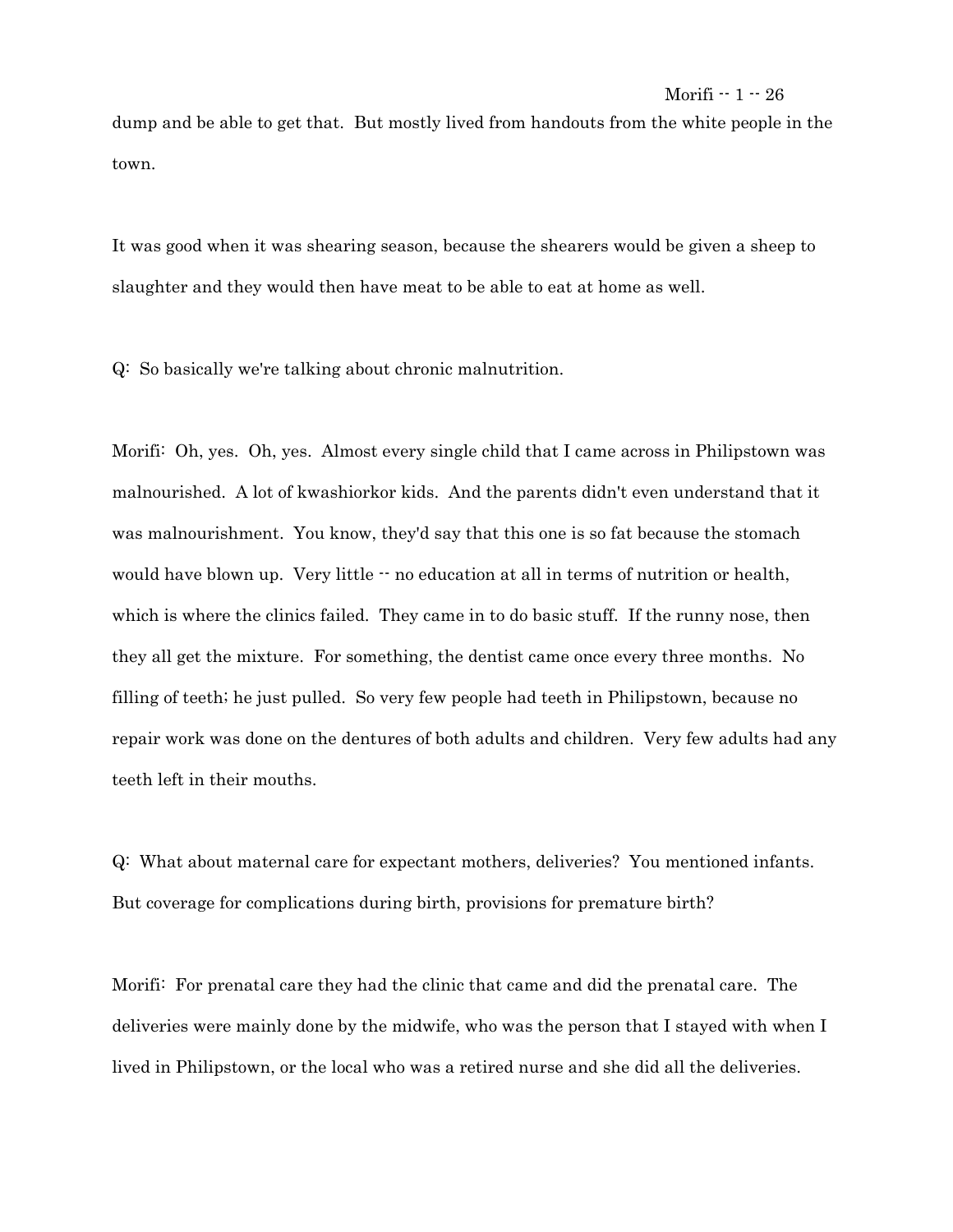dump and be able to get that. But mostly lived from handouts from the white people in the town.

It was good when it was shearing season, because the shearers would be given a sheep to slaughter and they would then have meat to be able to eat at home as well.

Q: So basically we're talking about chronic malnutrition.

Morifi: Oh, yes. Oh, yes. Almost every single child that I came across in Philipstown was malnourished. A lot of kwashiorkor kids. And the parents didn't even understand that it was malnourishment. You know, they'd say that this one is so fat because the stomach would have blown up. Very little  $\cdot \cdot$  no education at all in terms of nutrition or health, which is where the clinics failed. They came in to do basic stuff. If the runny nose, then they all get the mixture. For something, the dentist came once every three months. No filling of teeth; he just pulled. So very few people had teeth in Philipstown, because no repair work was done on the dentures of both adults and children. Very few adults had any teeth left in their mouths.

Q: What about maternal care for expectant mothers, deliveries? You mentioned infants. But coverage for complications during birth, provisions for premature birth?

Morifi: For prenatal care they had the clinic that came and did the prenatal care. The deliveries were mainly done by the midwife, who was the person that I stayed with when I lived in Philipstown, or the local who was a retired nurse and she did all the deliveries.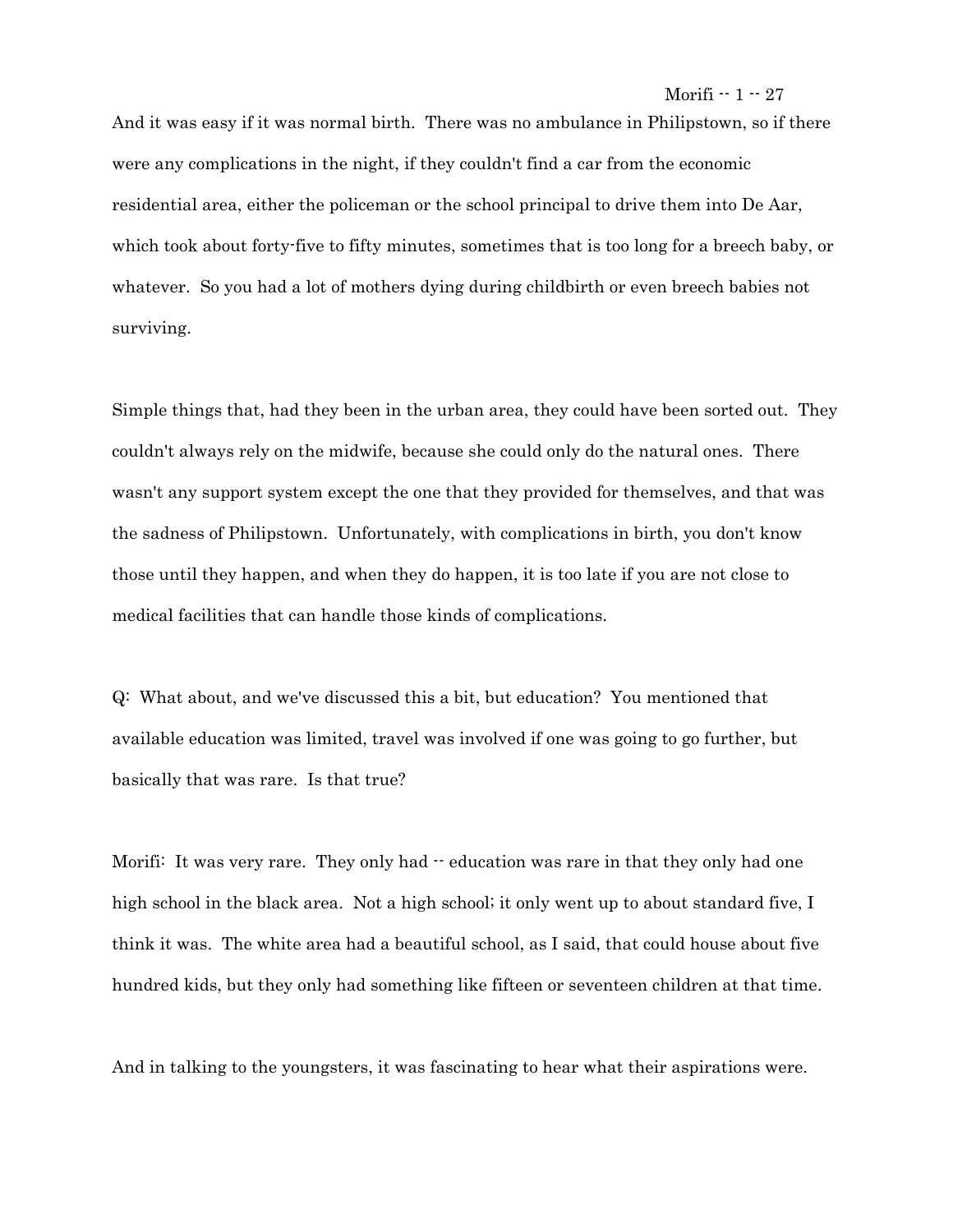And it was easy if it was normal birth. There was no ambulance in Philipstown, so if there were any complications in the night, if they couldn't find a car from the economic residential area, either the policeman or the school principal to drive them into De Aar, which took about forty-five to fifty minutes, sometimes that is too long for a breech baby, or whatever. So you had a lot of mothers dying during childbirth or even breech babies not surviving.

Simple things that, had they been in the urban area, they could have been sorted out. They couldn't always rely on the midwife, because she could only do the natural ones. There wasn't any support system except the one that they provided for themselves, and that was the sadness of Philipstown. Unfortunately, with complications in birth, you don't know those until they happen, and when they do happen, it is too late if you are not close to medical facilities that can handle those kinds of complications.

Q: What about, and we've discussed this a bit, but education? You mentioned that available education was limited, travel was involved if one was going to go further, but basically that was rare. Is that true?

Morifi: It was very rare. They only had  $\cdot\cdot$  education was rare in that they only had one high school in the black area. Not a high school; it only went up to about standard five, I think it was. The white area had a beautiful school, as I said, that could house about five hundred kids, but they only had something like fifteen or seventeen children at that time.

And in talking to the youngsters, it was fascinating to hear what their aspirations were.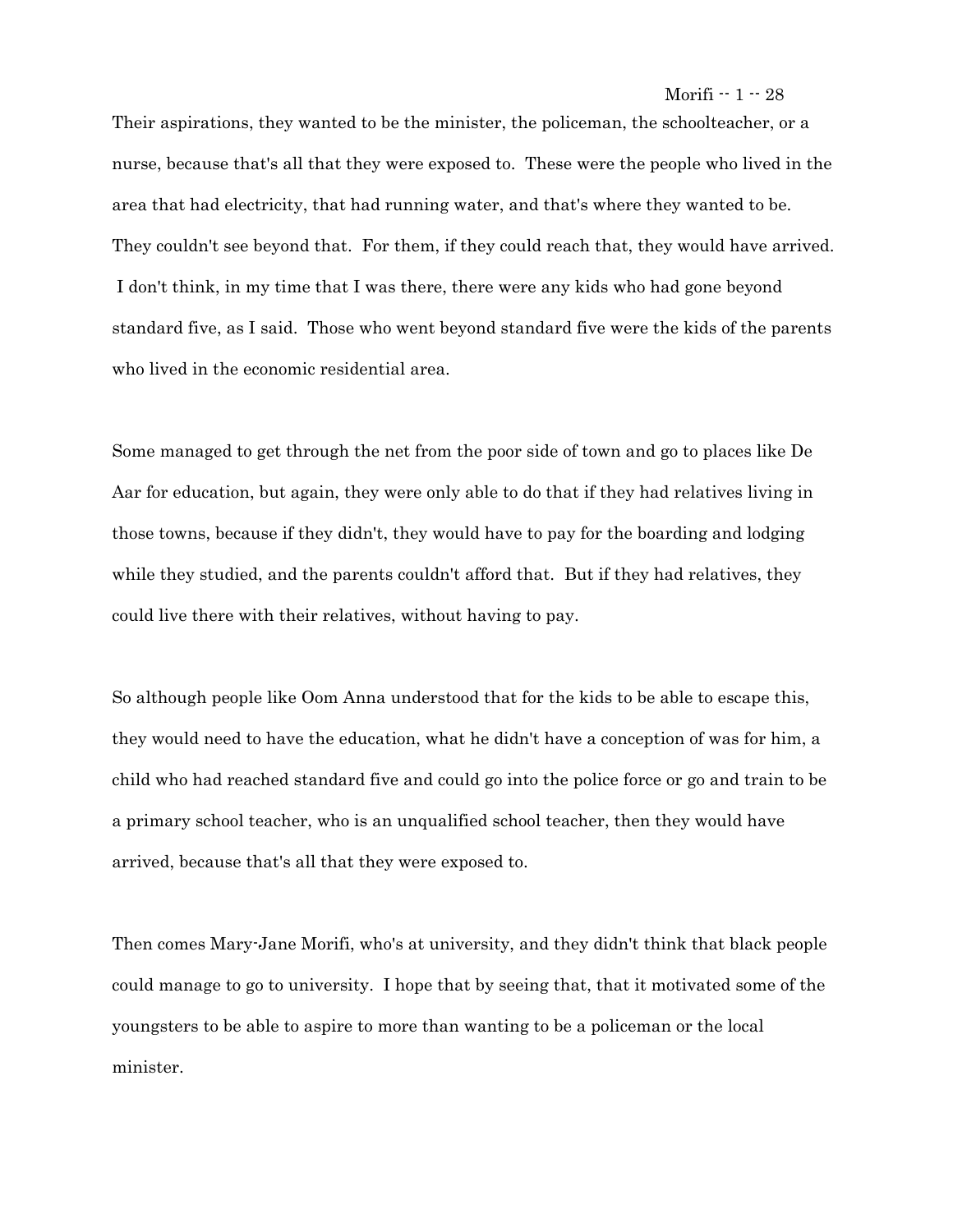Their aspirations, they wanted to be the minister, the policeman, the schoolteacher, or a nurse, because that's all that they were exposed to. These were the people who lived in the area that had electricity, that had running water, and that's where they wanted to be. They couldn't see beyond that. For them, if they could reach that, they would have arrived. I don't think, in my time that I was there, there were any kids who had gone beyond standard five, as I said. Those who went beyond standard five were the kids of the parents who lived in the economic residential area.

Some managed to get through the net from the poor side of town and go to places like De Aar for education, but again, they were only able to do that if they had relatives living in those towns, because if they didn't, they would have to pay for the boarding and lodging while they studied, and the parents couldn't afford that. But if they had relatives, they could live there with their relatives, without having to pay.

So although people like Oom Anna understood that for the kids to be able to escape this, they would need to have the education, what he didn't have a conception of was for him, a child who had reached standard five and could go into the police force or go and train to be a primary school teacher, who is an unqualified school teacher, then they would have arrived, because that's all that they were exposed to.

Then comes Mary-Jane Morifi, who's at university, and they didn't think that black people could manage to go to university. I hope that by seeing that, that it motivated some of the youngsters to be able to aspire to more than wanting to be a policeman or the local minister.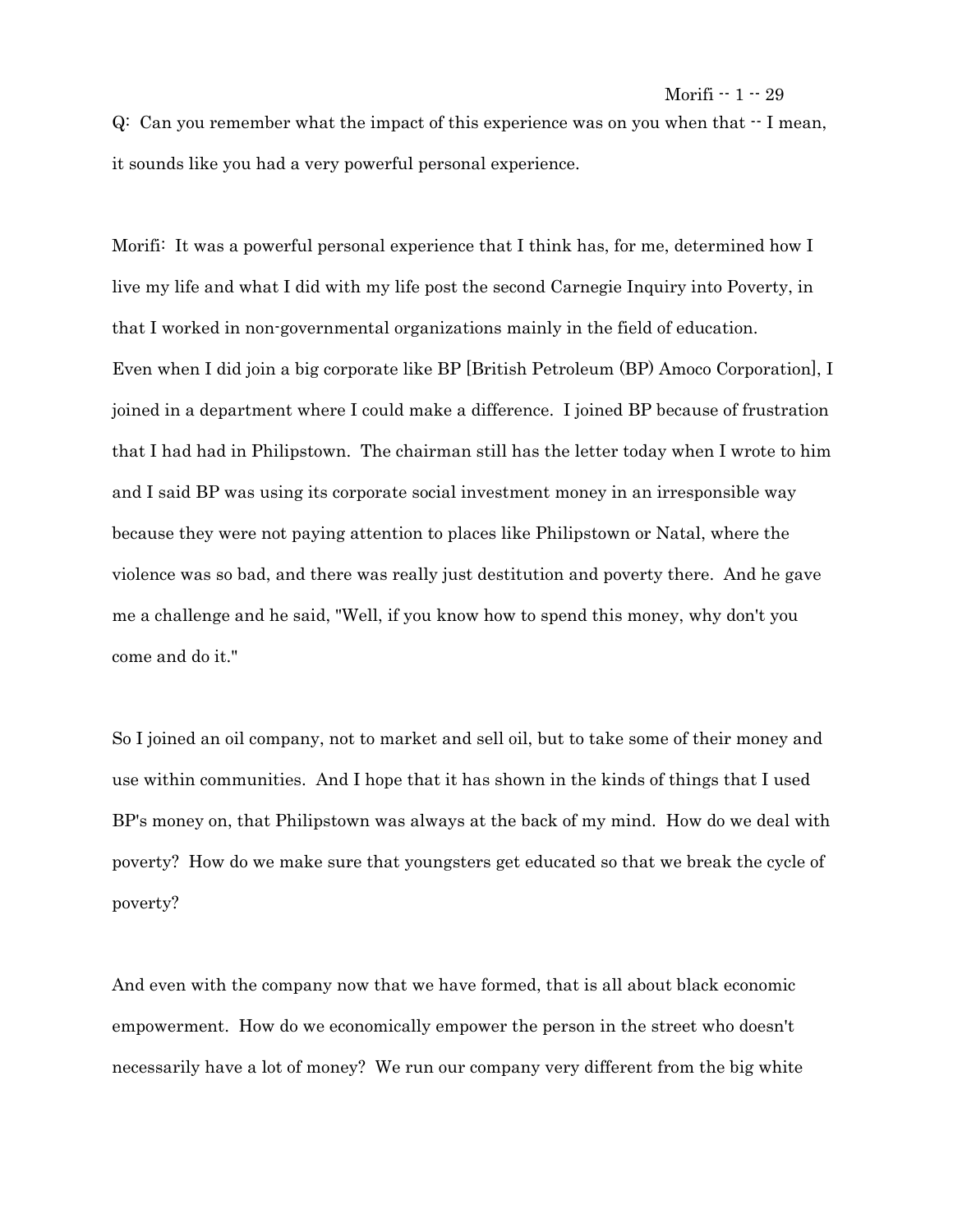$Q:$  Can you remember what the impact of this experience was on you when that  $\cdot$  I mean, it sounds like you had a very powerful personal experience.

Morifi: It was a powerful personal experience that I think has, for me, determined how I live my life and what I did with my life post the second Carnegie Inquiry into Poverty, in that I worked in non-governmental organizations mainly in the field of education. Even when I did join a big corporate like BP [British Petroleum (BP) Amoco Corporation], I joined in a department where I could make a difference. I joined BP because of frustration that I had had in Philipstown. The chairman still has the letter today when I wrote to him and I said BP was using its corporate social investment money in an irresponsible way because they were not paying attention to places like Philipstown or Natal, where the violence was so bad, and there was really just destitution and poverty there. And he gave me a challenge and he said, "Well, if you know how to spend this money, why don't you come and do it."

So I joined an oil company, not to market and sell oil, but to take some of their money and use within communities. And I hope that it has shown in the kinds of things that I used BP's money on, that Philipstown was always at the back of my mind. How do we deal with poverty? How do we make sure that youngsters get educated so that we break the cycle of poverty?

And even with the company now that we have formed, that is all about black economic empowerment. How do we economically empower the person in the street who doesn't necessarily have a lot of money? We run our company very different from the big white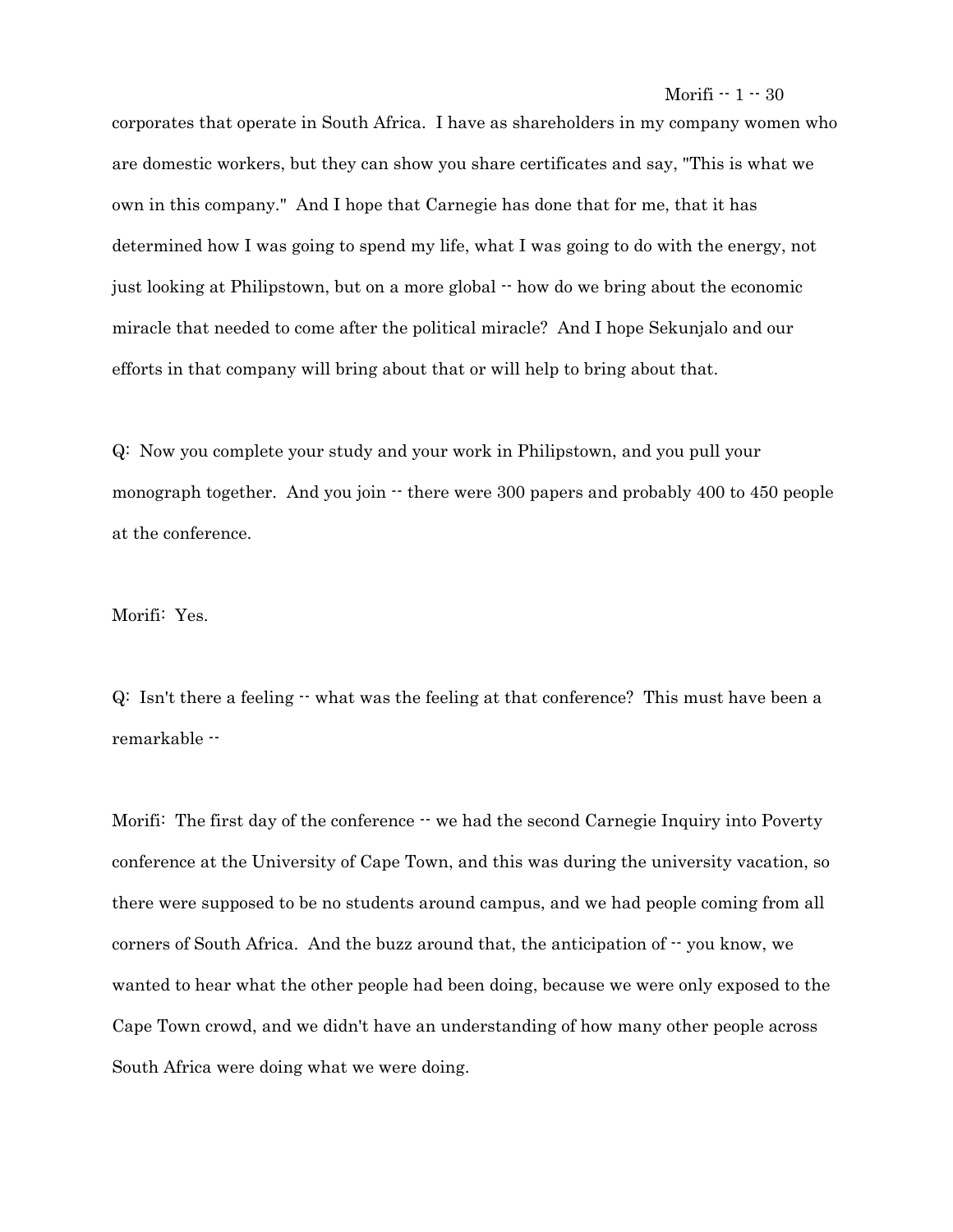corporates that operate in South Africa. I have as shareholders in my company women who are domestic workers, but they can show you share certificates and say, "This is what we own in this company." And I hope that Carnegie has done that for me, that it has determined how I was going to spend my life, what I was going to do with the energy, not just looking at Philipstown, but on a more global -- how do we bring about the economic miracle that needed to come after the political miracle? And I hope Sekunjalo and our efforts in that company will bring about that or will help to bring about that.

Q: Now you complete your study and your work in Philipstown, and you pull your monograph together. And you join  $\cdot$  there were 300 papers and probably 400 to 450 people at the conference.

## Morifi: Yes.

Q: Isn't there a feeling  $\cdot$  what was the feeling at that conference? This must have been a remarkable --

Morifi: The first day of the conference  $\cdot \cdot$  we had the second Carnegie Inquiry into Poverty conference at the University of Cape Town, and this was during the university vacation, so there were supposed to be no students around campus, and we had people coming from all corners of South Africa. And the buzz around that, the anticipation of  $\cdot$  you know, we wanted to hear what the other people had been doing, because we were only exposed to the Cape Town crowd, and we didn't have an understanding of how many other people across South Africa were doing what we were doing.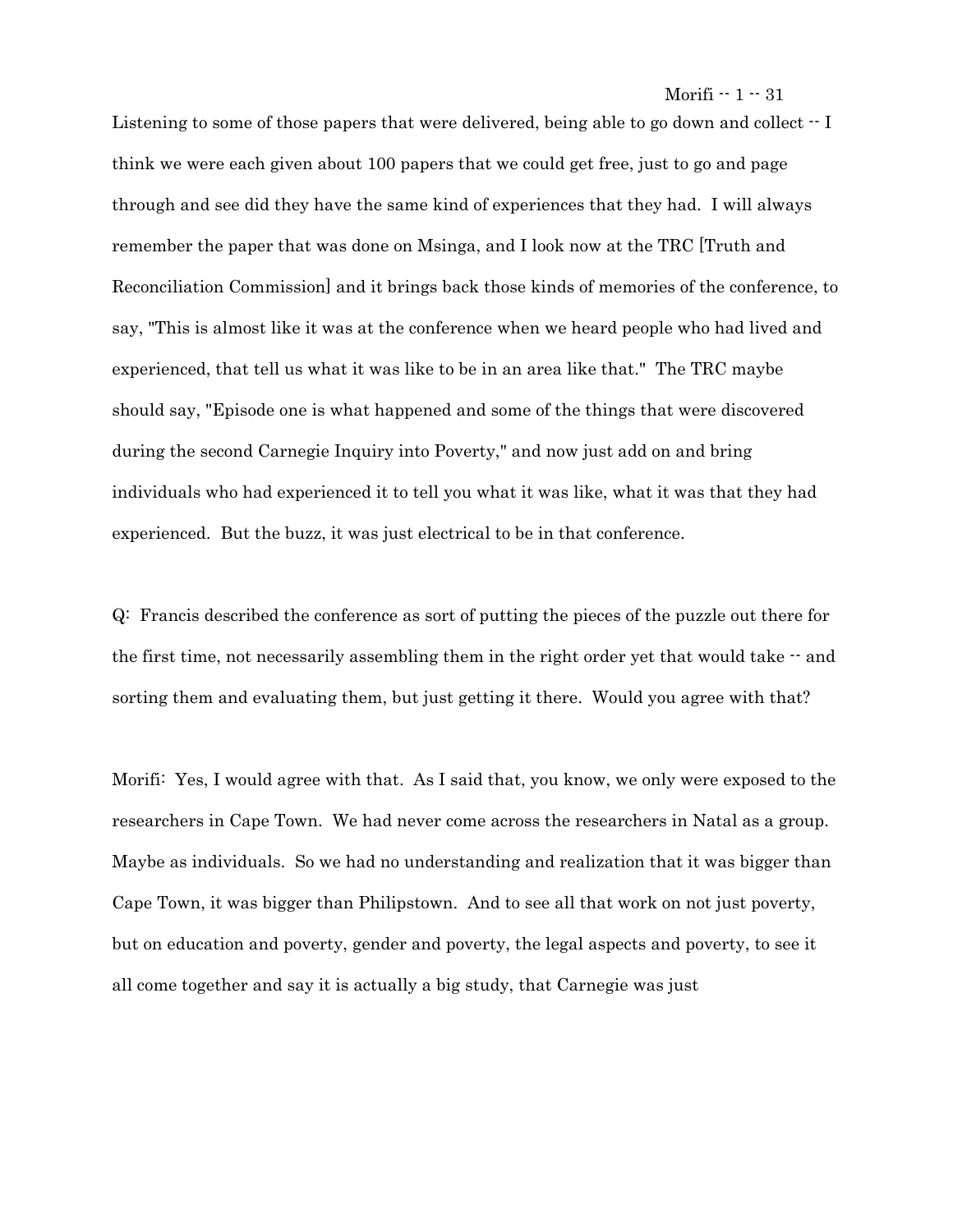Morifi  $-1 - 31$ 

Listening to some of those papers that were delivered, being able to go down and collect  $\cdot$  I think we were each given about 100 papers that we could get free, just to go and page through and see did they have the same kind of experiences that they had. I will always remember the paper that was done on Msinga, and I look now at the TRC [Truth and Reconciliation Commission] and it brings back those kinds of memories of the conference, to say, "This is almost like it was at the conference when we heard people who had lived and experienced, that tell us what it was like to be in an area like that." The TRC maybe should say, "Episode one is what happened and some of the things that were discovered during the second Carnegie Inquiry into Poverty," and now just add on and bring individuals who had experienced it to tell you what it was like, what it was that they had experienced. But the buzz, it was just electrical to be in that conference.

Q: Francis described the conference as sort of putting the pieces of the puzzle out there for the first time, not necessarily assembling them in the right order yet that would take  $\cdot$  and sorting them and evaluating them, but just getting it there. Would you agree with that?

Morifi: Yes, I would agree with that. As I said that, you know, we only were exposed to the researchers in Cape Town. We had never come across the researchers in Natal as a group. Maybe as individuals. So we had no understanding and realization that it was bigger than Cape Town, it was bigger than Philipstown. And to see all that work on not just poverty, but on education and poverty, gender and poverty, the legal aspects and poverty, to see it all come together and say it is actually a big study, that Carnegie was just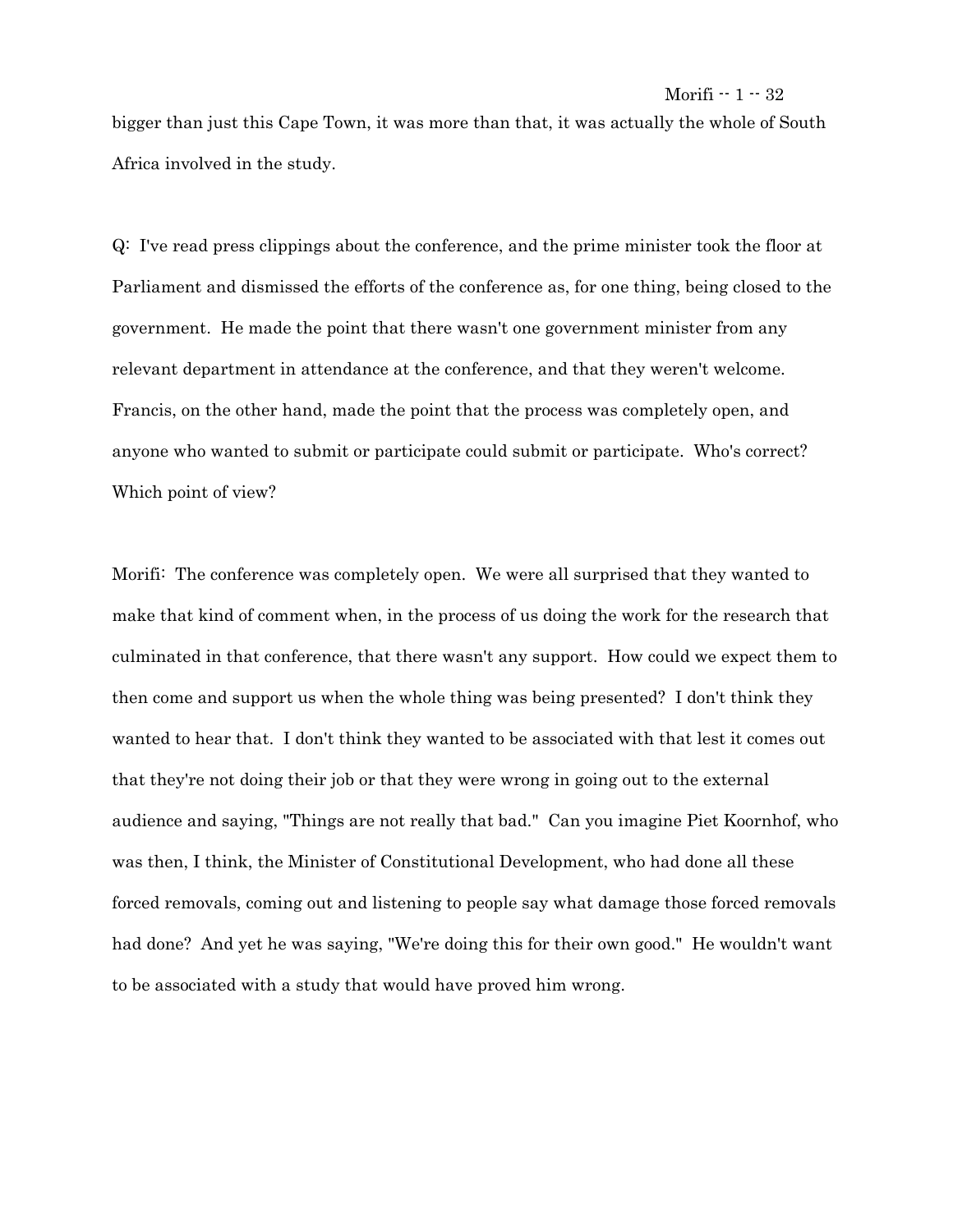bigger than just this Cape Town, it was more than that, it was actually the whole of South Africa involved in the study.

Q: I've read press clippings about the conference, and the prime minister took the floor at Parliament and dismissed the efforts of the conference as, for one thing, being closed to the government. He made the point that there wasn't one government minister from any relevant department in attendance at the conference, and that they weren't welcome. Francis, on the other hand, made the point that the process was completely open, and anyone who wanted to submit or participate could submit or participate. Who's correct? Which point of view?

Morifi: The conference was completely open. We were all surprised that they wanted to make that kind of comment when, in the process of us doing the work for the research that culminated in that conference, that there wasn't any support. How could we expect them to then come and support us when the whole thing was being presented? I don't think they wanted to hear that. I don't think they wanted to be associated with that lest it comes out that they're not doing their job or that they were wrong in going out to the external audience and saying, "Things are not really that bad." Can you imagine Piet Koornhof, who was then, I think, the Minister of Constitutional Development, who had done all these forced removals, coming out and listening to people say what damage those forced removals had done? And yet he was saying, "We're doing this for their own good." He wouldn't want to be associated with a study that would have proved him wrong.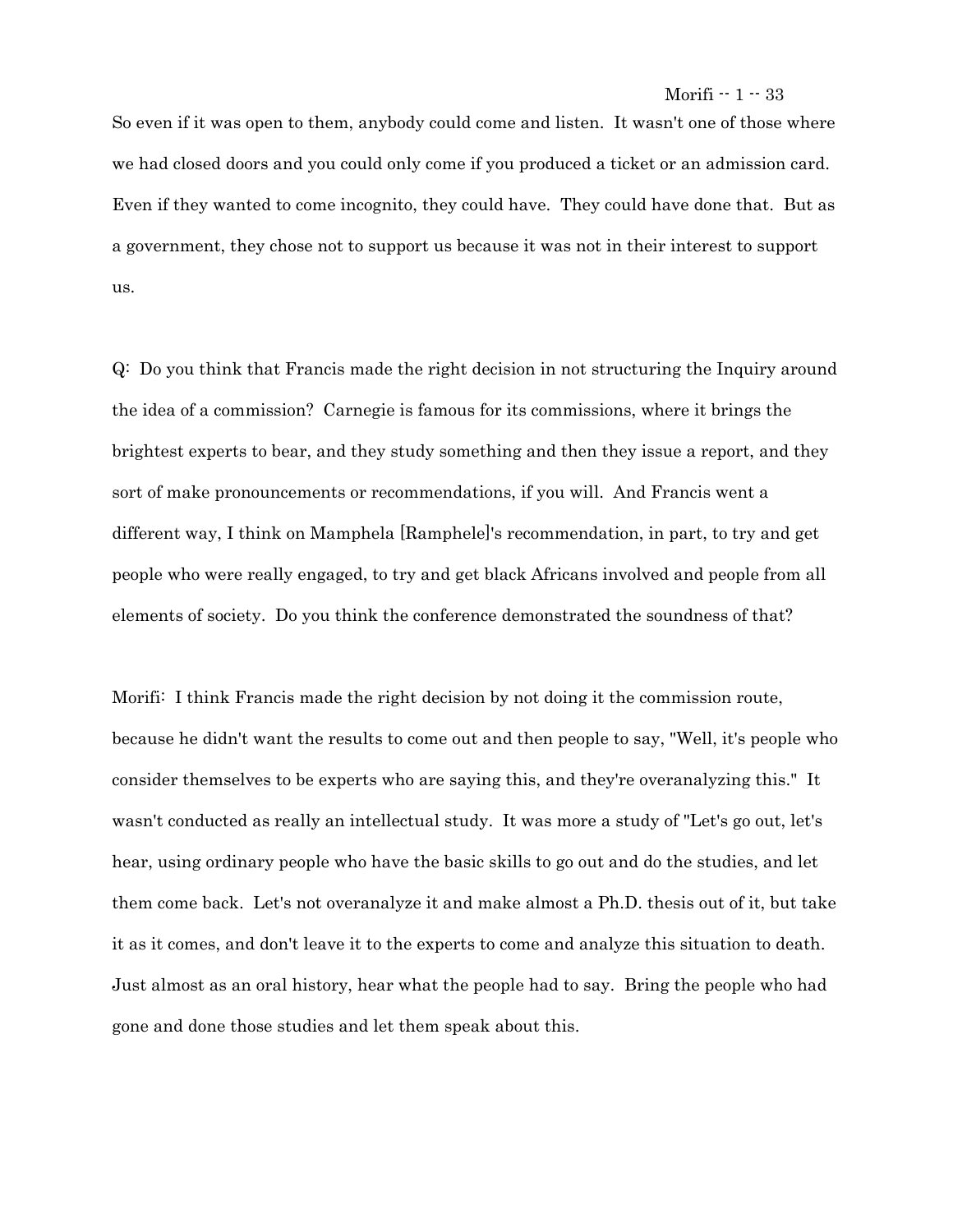## Morifi  $-1 - 33$

So even if it was open to them, anybody could come and listen. It wasn't one of those where we had closed doors and you could only come if you produced a ticket or an admission card. Even if they wanted to come incognito, they could have. They could have done that. But as a government, they chose not to support us because it was not in their interest to support us.

Q: Do you think that Francis made the right decision in not structuring the Inquiry around the idea of a commission? Carnegie is famous for its commissions, where it brings the brightest experts to bear, and they study something and then they issue a report, and they sort of make pronouncements or recommendations, if you will. And Francis went a different way, I think on Mamphela [Ramphele]'s recommendation, in part, to try and get people who were really engaged, to try and get black Africans involved and people from all elements of society. Do you think the conference demonstrated the soundness of that?

Morifi: I think Francis made the right decision by not doing it the commission route, because he didn't want the results to come out and then people to say, "Well, it's people who consider themselves to be experts who are saying this, and they're overanalyzing this." It wasn't conducted as really an intellectual study. It was more a study of "Let's go out, let's hear, using ordinary people who have the basic skills to go out and do the studies, and let them come back. Let's not overanalyze it and make almost a Ph.D. thesis out of it, but take it as it comes, and don't leave it to the experts to come and analyze this situation to death. Just almost as an oral history, hear what the people had to say. Bring the people who had gone and done those studies and let them speak about this.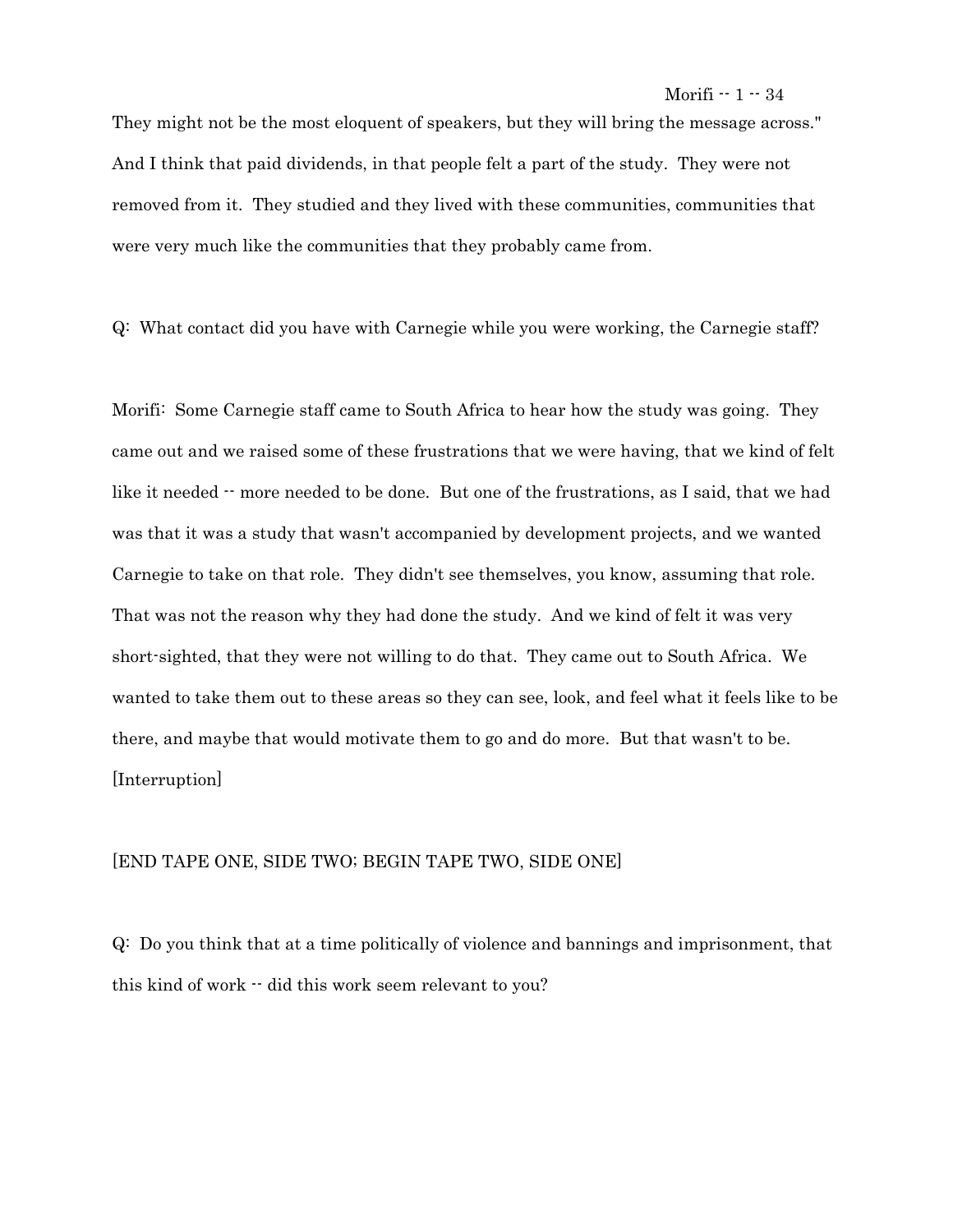They might not be the most eloquent of speakers, but they will bring the message across." And I think that paid dividends, in that people felt a part of the study. They were not removed from it. They studied and they lived with these communities, communities that were very much like the communities that they probably came from.

Q: What contact did you have with Carnegie while you were working, the Carnegie staff?

Morifi: Some Carnegie staff came to South Africa to hear how the study was going. They came out and we raised some of these frustrations that we were having, that we kind of felt like it needed  $\cdot$  more needed to be done. But one of the frustrations, as I said, that we had was that it was a study that wasn't accompanied by development projects, and we wanted Carnegie to take on that role. They didn't see themselves, you know, assuming that role. That was not the reason why they had done the study. And we kind of felt it was very short-sighted, that they were not willing to do that. They came out to South Africa. We wanted to take them out to these areas so they can see, look, and feel what it feels like to be there, and maybe that would motivate them to go and do more. But that wasn't to be. [Interruption]

#### [END TAPE ONE, SIDE TWO; BEGIN TAPE TWO, SIDE ONE]

Q: Do you think that at a time politically of violence and bannings and imprisonment, that this kind of work -- did this work seem relevant to you?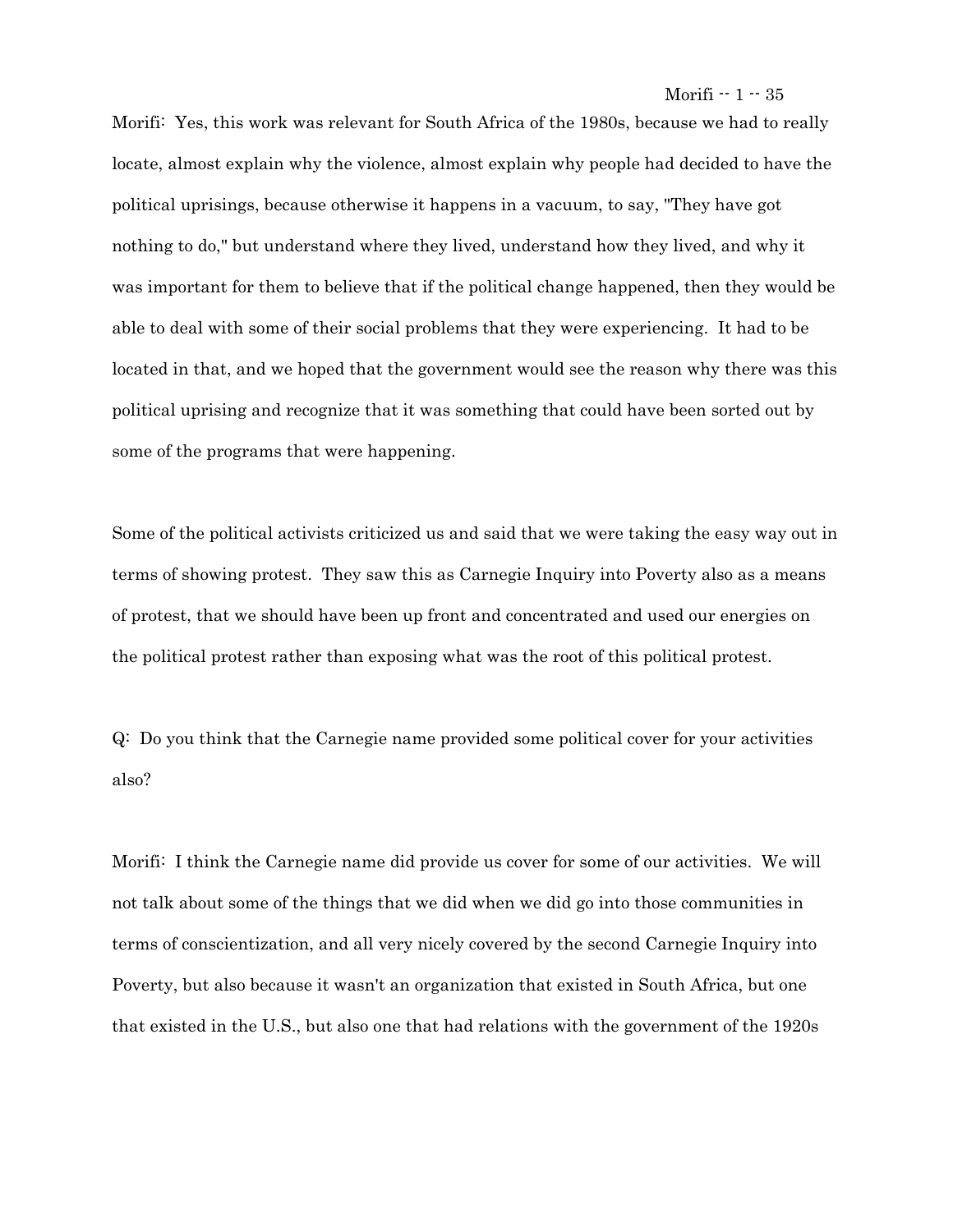Morifi: Yes, this work was relevant for South Africa of the 1980s, because we had to really locate, almost explain why the violence, almost explain why people had decided to have the political uprisings, because otherwise it happens in a vacuum, to say, "They have got nothing to do," but understand where they lived, understand how they lived, and why it was important for them to believe that if the political change happened, then they would be able to deal with some of their social problems that they were experiencing. It had to be located in that, and we hoped that the government would see the reason why there was this political uprising and recognize that it was something that could have been sorted out by some of the programs that were happening.

Some of the political activists criticized us and said that we were taking the easy way out in terms of showing protest. They saw this as Carnegie Inquiry into Poverty also as a means of protest, that we should have been up front and concentrated and used our energies on the political protest rather than exposing what was the root of this political protest.

Q: Do you think that the Carnegie name provided some political cover for your activities also?

Morifi: I think the Carnegie name did provide us cover for some of our activities. We will not talk about some of the things that we did when we did go into those communities in terms of conscientization, and all very nicely covered by the second Carnegie Inquiry into Poverty, but also because it wasn't an organization that existed in South Africa, but one that existed in the U.S., but also one that had relations with the government of the 1920s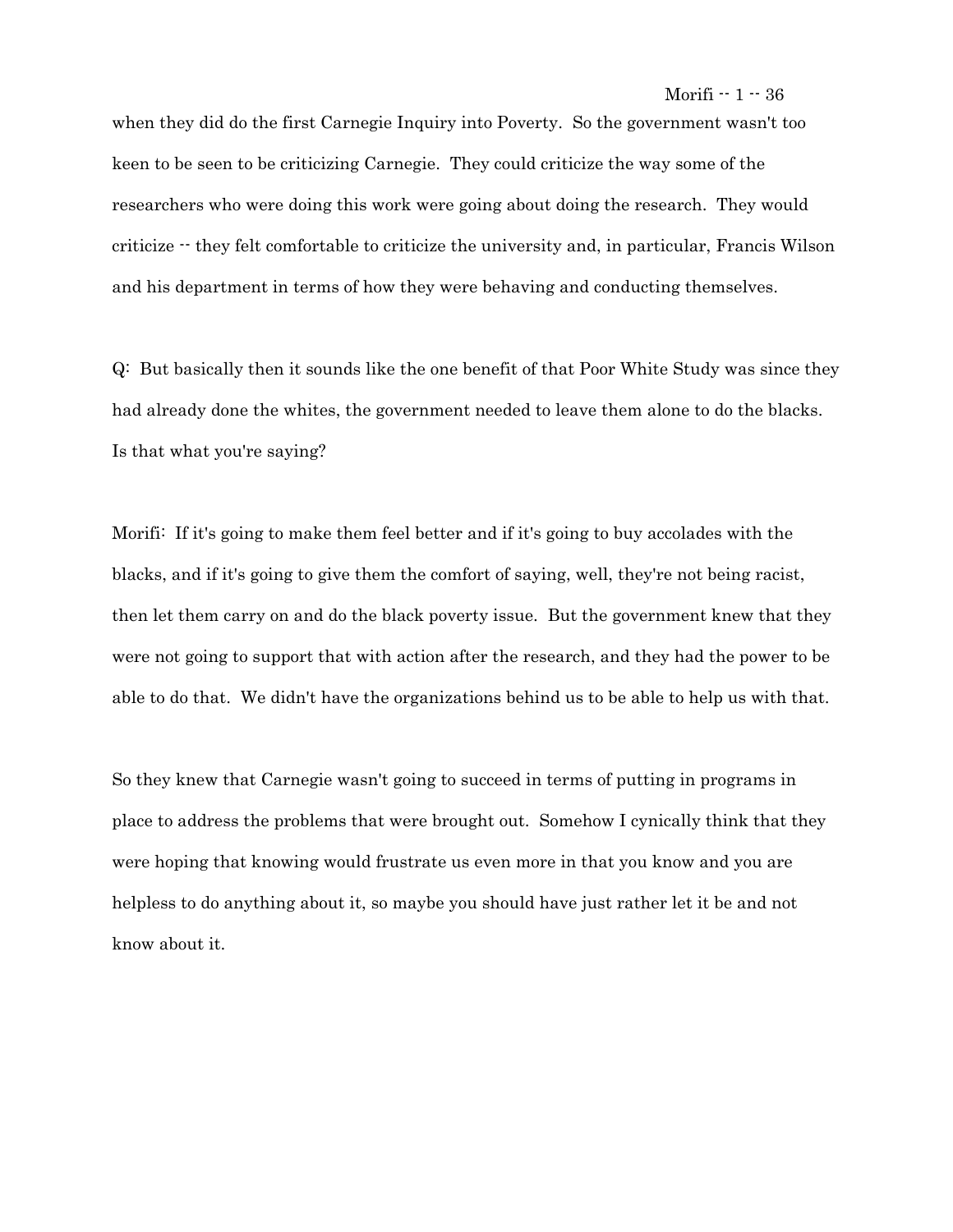when they did do the first Carnegie Inquiry into Poverty. So the government wasn't too keen to be seen to be criticizing Carnegie. They could criticize the way some of the researchers who were doing this work were going about doing the research. They would criticize -- they felt comfortable to criticize the university and, in particular, Francis Wilson and his department in terms of how they were behaving and conducting themselves.

Q: But basically then it sounds like the one benefit of that Poor White Study was since they had already done the whites, the government needed to leave them alone to do the blacks. Is that what you're saying?

Morifi: If it's going to make them feel better and if it's going to buy accolades with the blacks, and if it's going to give them the comfort of saying, well, they're not being racist, then let them carry on and do the black poverty issue. But the government knew that they were not going to support that with action after the research, and they had the power to be able to do that. We didn't have the organizations behind us to be able to help us with that.

So they knew that Carnegie wasn't going to succeed in terms of putting in programs in place to address the problems that were brought out. Somehow I cynically think that they were hoping that knowing would frustrate us even more in that you know and you are helpless to do anything about it, so maybe you should have just rather let it be and not know about it.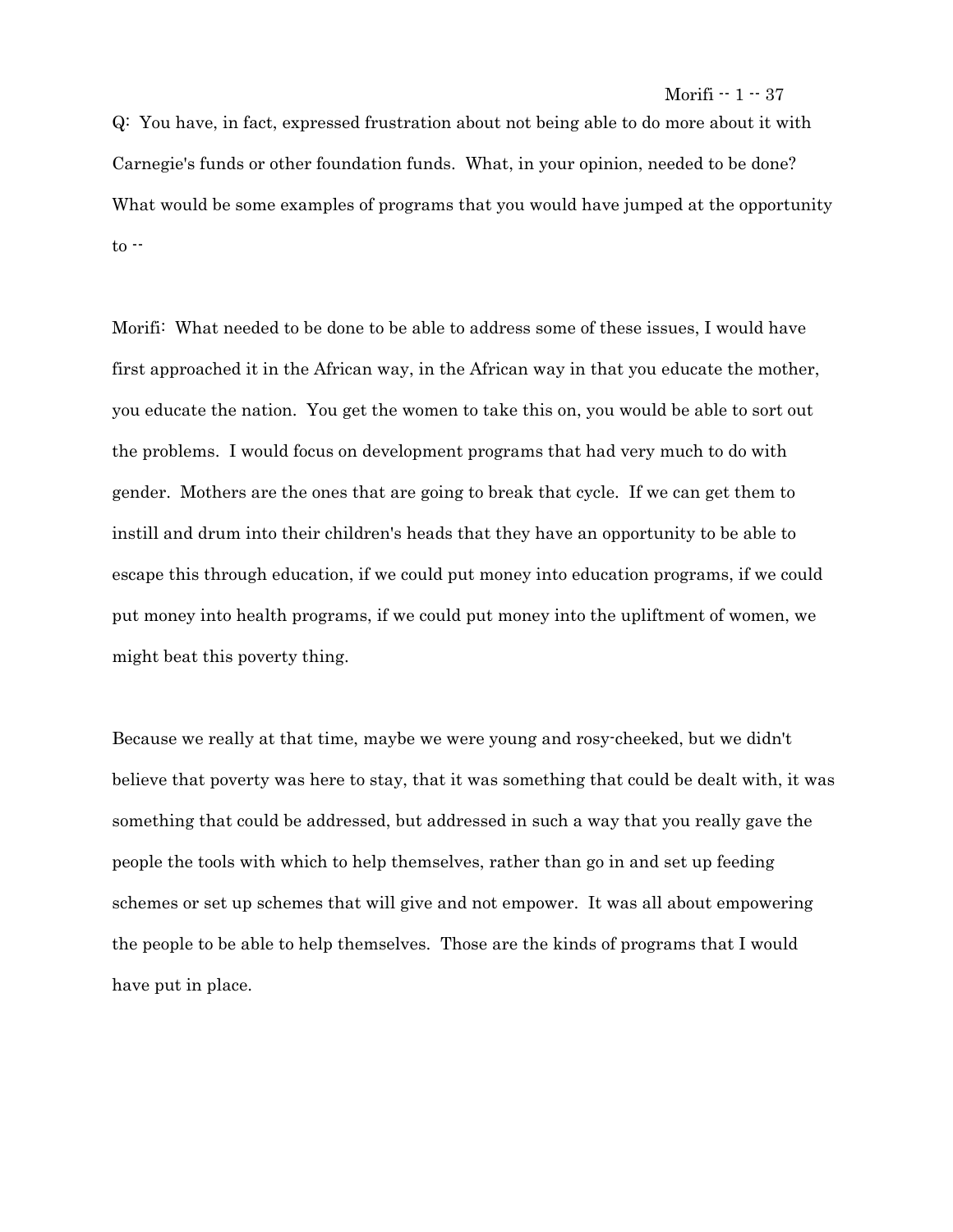Q: You have, in fact, expressed frustration about not being able to do more about it with Carnegie's funds or other foundation funds. What, in your opinion, needed to be done? What would be some examples of programs that you would have jumped at the opportunity to --

Morifi: What needed to be done to be able to address some of these issues, I would have first approached it in the African way, in the African way in that you educate the mother, you educate the nation. You get the women to take this on, you would be able to sort out the problems. I would focus on development programs that had very much to do with gender. Mothers are the ones that are going to break that cycle. If we can get them to instill and drum into their children's heads that they have an opportunity to be able to escape this through education, if we could put money into education programs, if we could put money into health programs, if we could put money into the upliftment of women, we might beat this poverty thing.

Because we really at that time, maybe we were young and rosy-cheeked, but we didn't believe that poverty was here to stay, that it was something that could be dealt with, it was something that could be addressed, but addressed in such a way that you really gave the people the tools with which to help themselves, rather than go in and set up feeding schemes or set up schemes that will give and not empower. It was all about empowering the people to be able to help themselves. Those are the kinds of programs that I would have put in place.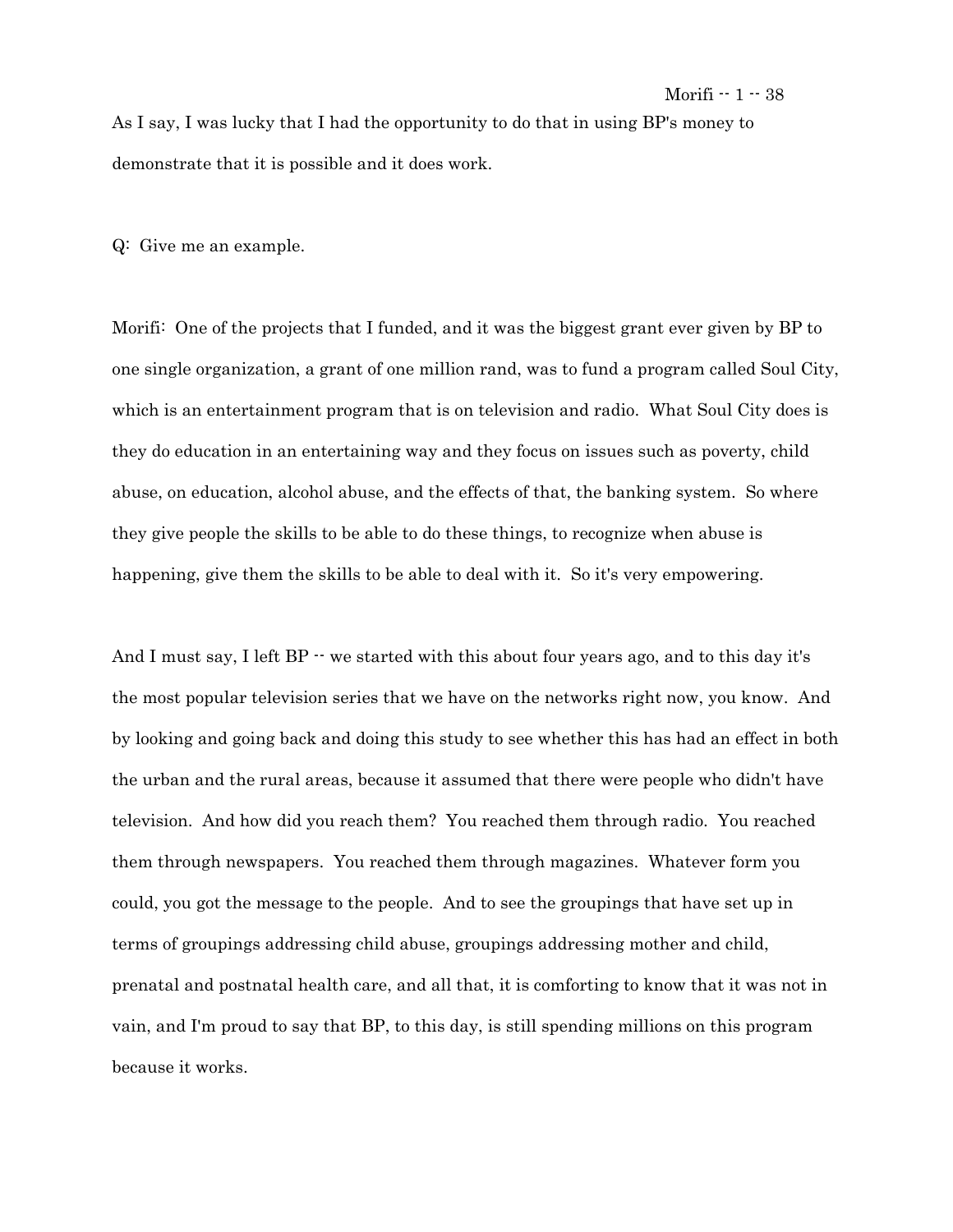As I say, I was lucky that I had the opportunity to do that in using BP's money to demonstrate that it is possible and it does work.

Q: Give me an example.

Morifi: One of the projects that I funded, and it was the biggest grant ever given by BP to one single organization, a grant of one million rand, was to fund a program called Soul City, which is an entertainment program that is on television and radio. What Soul City does is they do education in an entertaining way and they focus on issues such as poverty, child abuse, on education, alcohol abuse, and the effects of that, the banking system. So where they give people the skills to be able to do these things, to recognize when abuse is happening, give them the skills to be able to deal with it. So it's very empowering.

And I must say, I left  $BP -$  we started with this about four years ago, and to this day it's the most popular television series that we have on the networks right now, you know. And by looking and going back and doing this study to see whether this has had an effect in both the urban and the rural areas, because it assumed that there were people who didn't have television. And how did you reach them? You reached them through radio. You reached them through newspapers. You reached them through magazines. Whatever form you could, you got the message to the people. And to see the groupings that have set up in terms of groupings addressing child abuse, groupings addressing mother and child, prenatal and postnatal health care, and all that, it is comforting to know that it was not in vain, and I'm proud to say that BP, to this day, is still spending millions on this program because it works.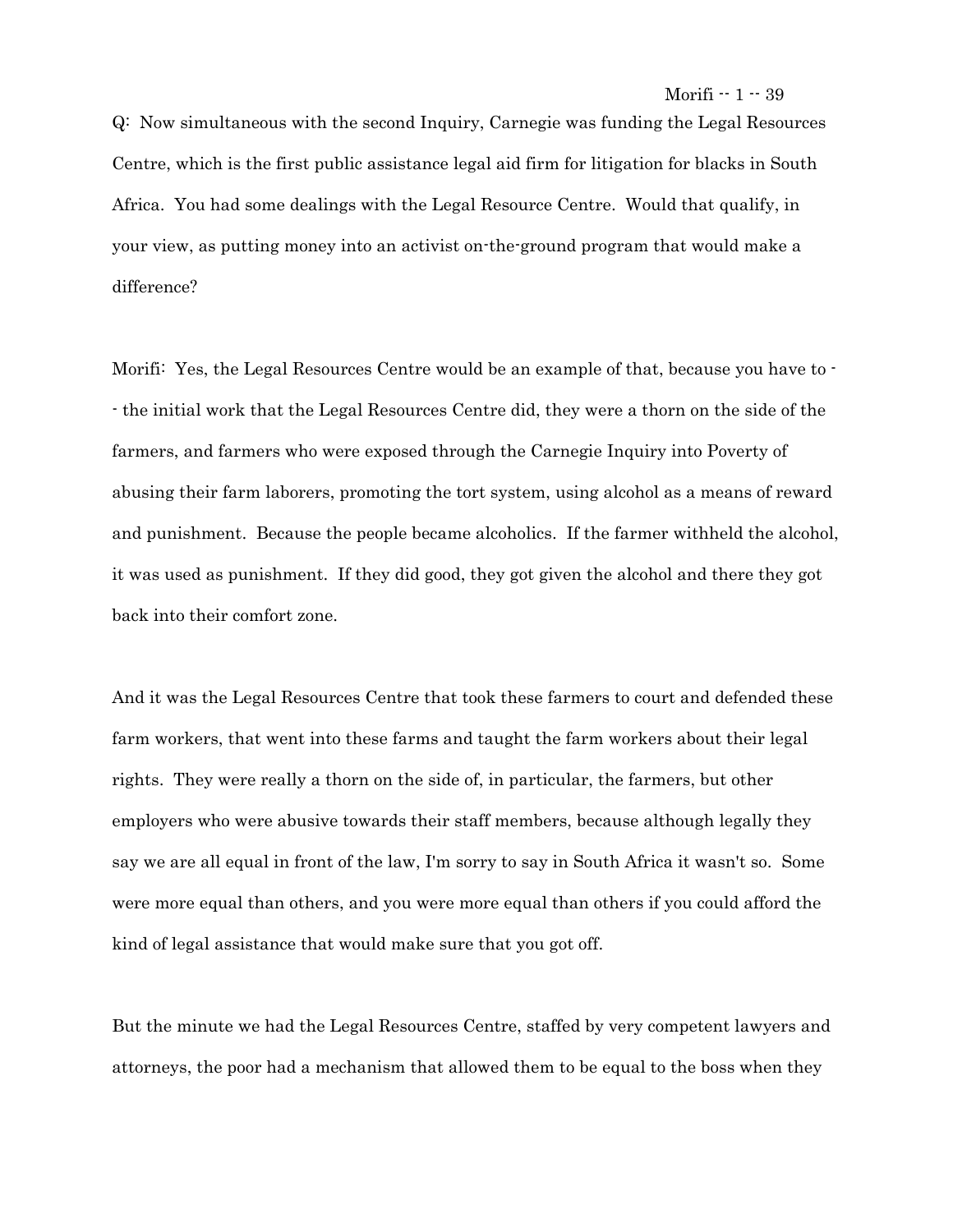Q: Now simultaneous with the second Inquiry, Carnegie was funding the Legal Resources Centre, which is the first public assistance legal aid firm for litigation for blacks in South Africa. You had some dealings with the Legal Resource Centre. Would that qualify, in your view, as putting money into an activist on-the-ground program that would make a difference?

Morifi: Yes, the Legal Resources Centre would be an example of that, because you have to - - the initial work that the Legal Resources Centre did, they were a thorn on the side of the farmers, and farmers who were exposed through the Carnegie Inquiry into Poverty of abusing their farm laborers, promoting the tort system, using alcohol as a means of reward and punishment. Because the people became alcoholics. If the farmer withheld the alcohol, it was used as punishment. If they did good, they got given the alcohol and there they got back into their comfort zone.

And it was the Legal Resources Centre that took these farmers to court and defended these farm workers, that went into these farms and taught the farm workers about their legal rights. They were really a thorn on the side of, in particular, the farmers, but other employers who were abusive towards their staff members, because although legally they say we are all equal in front of the law, I'm sorry to say in South Africa it wasn't so. Some were more equal than others, and you were more equal than others if you could afford the kind of legal assistance that would make sure that you got off.

But the minute we had the Legal Resources Centre, staffed by very competent lawyers and attorneys, the poor had a mechanism that allowed them to be equal to the boss when they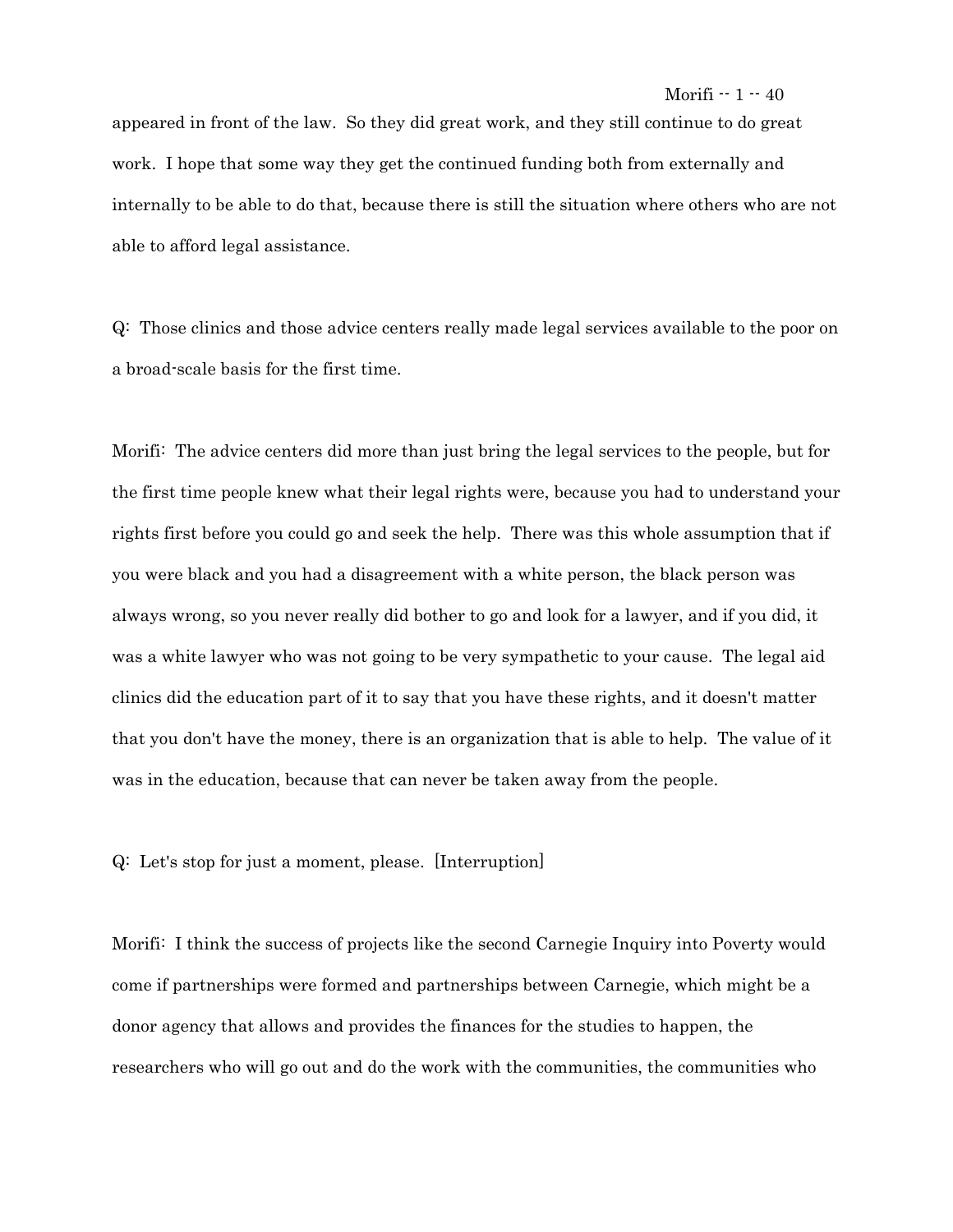appeared in front of the law. So they did great work, and they still continue to do great work. I hope that some way they get the continued funding both from externally and internally to be able to do that, because there is still the situation where others who are not able to afford legal assistance.

Q: Those clinics and those advice centers really made legal services available to the poor on a broad-scale basis for the first time.

Morifi: The advice centers did more than just bring the legal services to the people, but for the first time people knew what their legal rights were, because you had to understand your rights first before you could go and seek the help. There was this whole assumption that if you were black and you had a disagreement with a white person, the black person was always wrong, so you never really did bother to go and look for a lawyer, and if you did, it was a white lawyer who was not going to be very sympathetic to your cause. The legal aid clinics did the education part of it to say that you have these rights, and it doesn't matter that you don't have the money, there is an organization that is able to help. The value of it was in the education, because that can never be taken away from the people.

Q: Let's stop for just a moment, please. [Interruption]

Morifi: I think the success of projects like the second Carnegie Inquiry into Poverty would come if partnerships were formed and partnerships between Carnegie, which might be a donor agency that allows and provides the finances for the studies to happen, the researchers who will go out and do the work with the communities, the communities who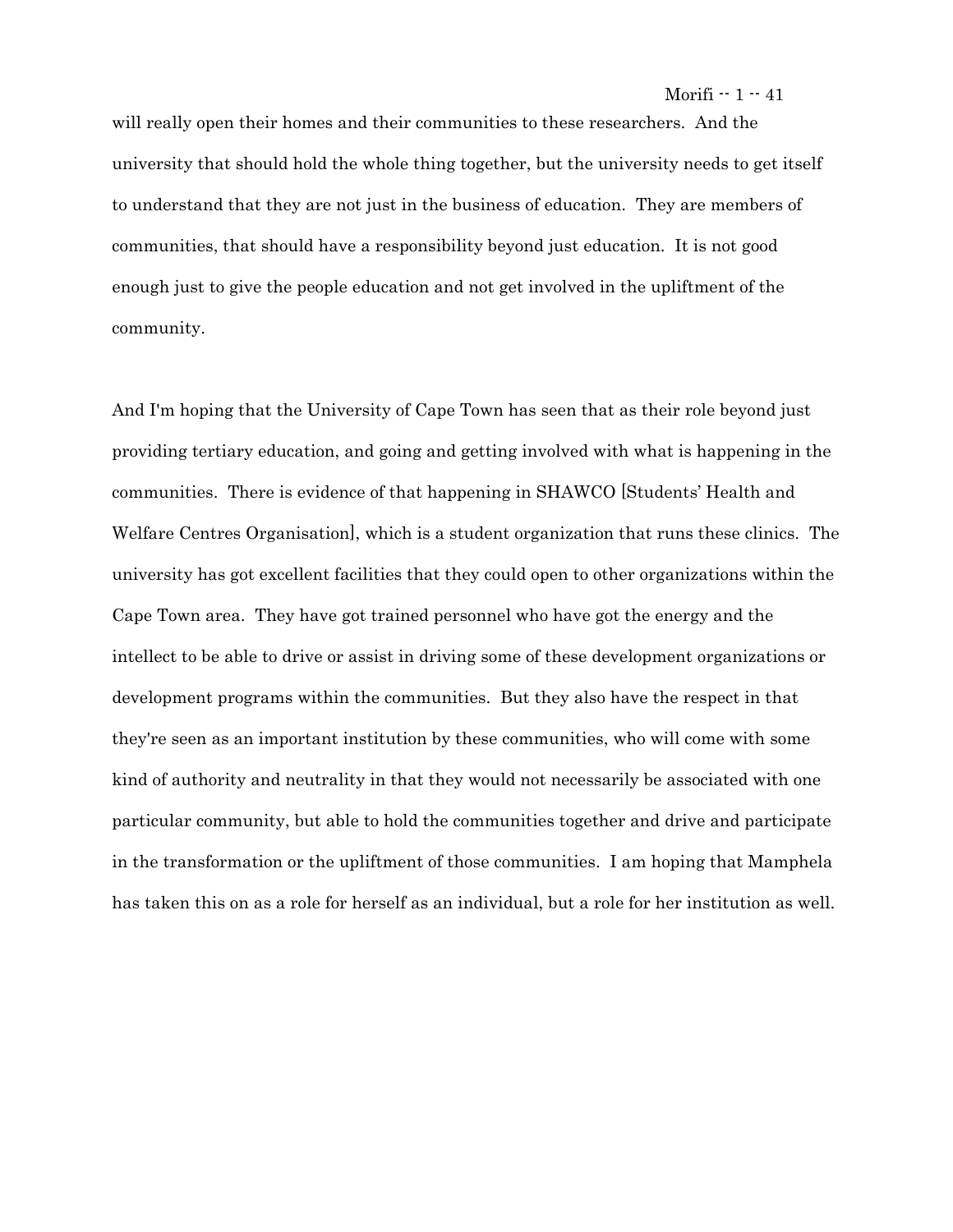will really open their homes and their communities to these researchers. And the university that should hold the whole thing together, but the university needs to get itself to understand that they are not just in the business of education. They are members of communities, that should have a responsibility beyond just education. It is not good enough just to give the people education and not get involved in the upliftment of the community.

And I'm hoping that the University of Cape Town has seen that as their role beyond just providing tertiary education, and going and getting involved with what is happening in the communities. There is evidence of that happening in SHAWCO [Students' Health and Welfare Centres Organisation], which is a student organization that runs these clinics. The university has got excellent facilities that they could open to other organizations within the Cape Town area. They have got trained personnel who have got the energy and the intellect to be able to drive or assist in driving some of these development organizations or development programs within the communities. But they also have the respect in that they're seen as an important institution by these communities, who will come with some kind of authority and neutrality in that they would not necessarily be associated with one particular community, but able to hold the communities together and drive and participate in the transformation or the upliftment of those communities. I am hoping that Mamphela has taken this on as a role for herself as an individual, but a role for her institution as well.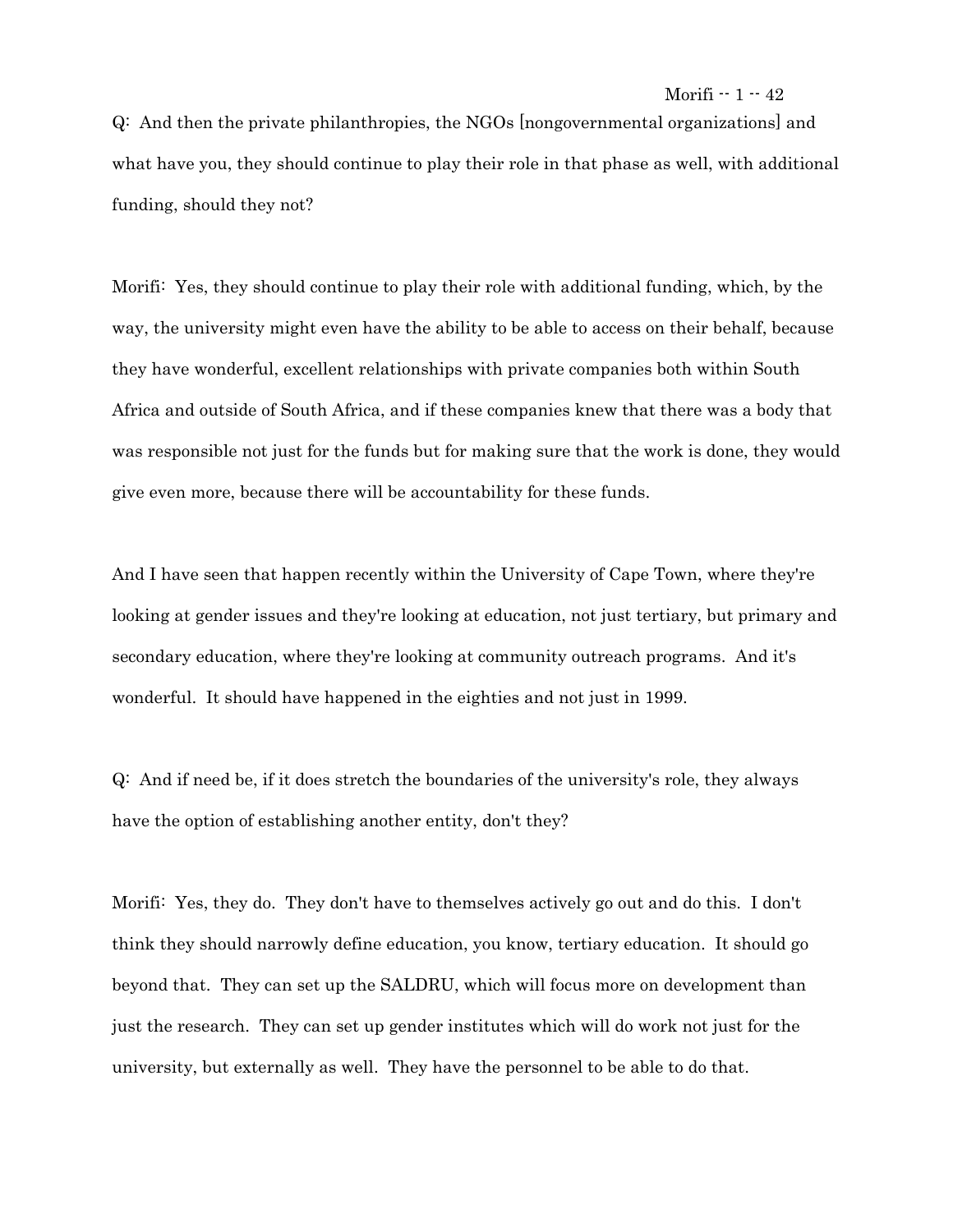Q: And then the private philanthropies, the NGOs [nongovernmental organizations] and what have you, they should continue to play their role in that phase as well, with additional funding, should they not?

Morifi: Yes, they should continue to play their role with additional funding, which, by the way, the university might even have the ability to be able to access on their behalf, because they have wonderful, excellent relationships with private companies both within South Africa and outside of South Africa, and if these companies knew that there was a body that was responsible not just for the funds but for making sure that the work is done, they would give even more, because there will be accountability for these funds.

And I have seen that happen recently within the University of Cape Town, where they're looking at gender issues and they're looking at education, not just tertiary, but primary and secondary education, where they're looking at community outreach programs. And it's wonderful. It should have happened in the eighties and not just in 1999.

Q: And if need be, if it does stretch the boundaries of the university's role, they always have the option of establishing another entity, don't they?

Morifi: Yes, they do. They don't have to themselves actively go out and do this. I don't think they should narrowly define education, you know, tertiary education. It should go beyond that. They can set up the SALDRU, which will focus more on development than just the research. They can set up gender institutes which will do work not just for the university, but externally as well. They have the personnel to be able to do that.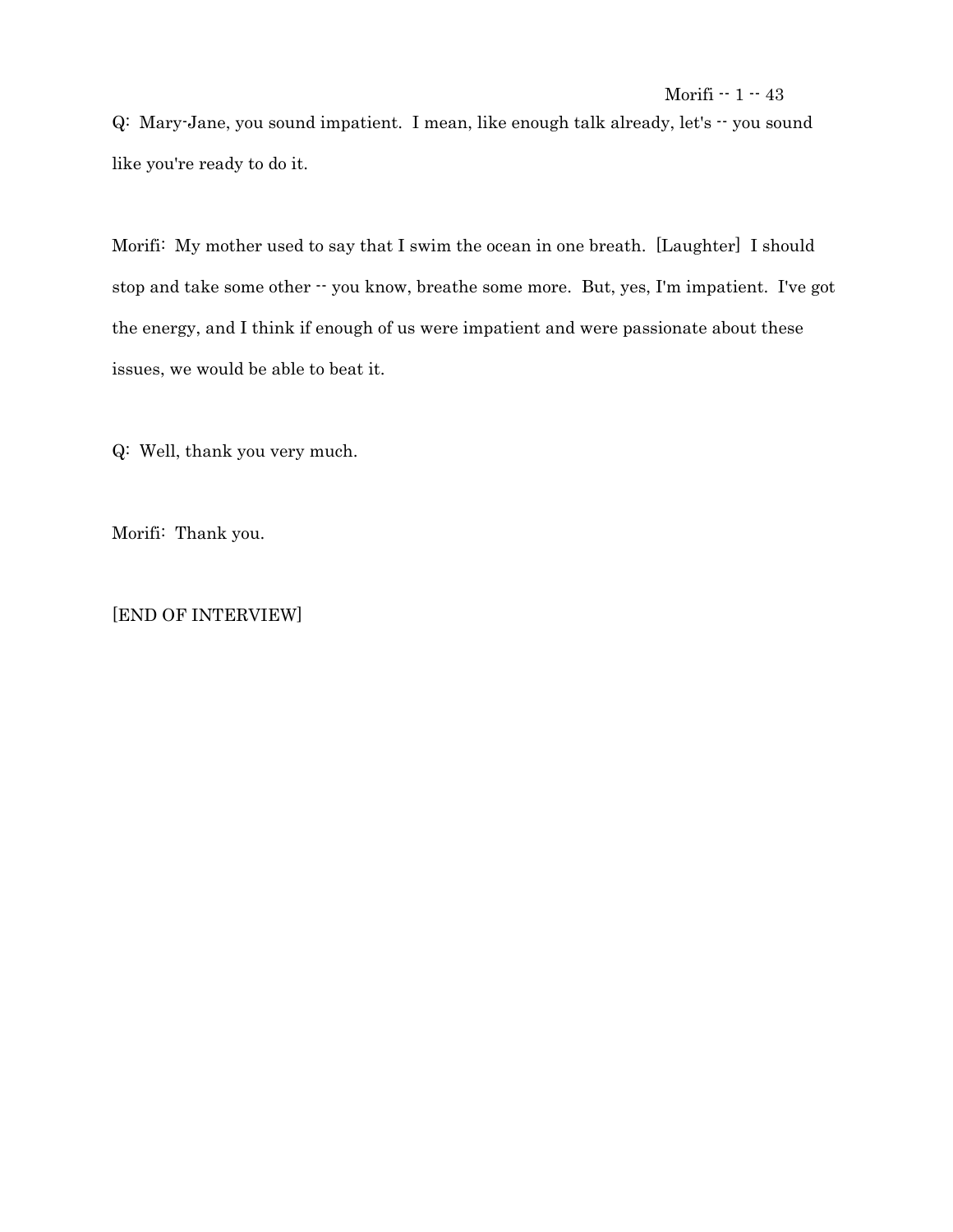Q: Mary-Jane, you sound impatient. I mean, like enough talk already, let's -- you sound like you're ready to do it.

Morifi: My mother used to say that I swim the ocean in one breath. [Laughter] I should stop and take some other -- you know, breathe some more. But, yes, I'm impatient. I've got the energy, and I think if enough of us were impatient and were passionate about these issues, we would be able to beat it.

Q: Well, thank you very much.

Morifi: Thank you.

# [END OF INTERVIEW]